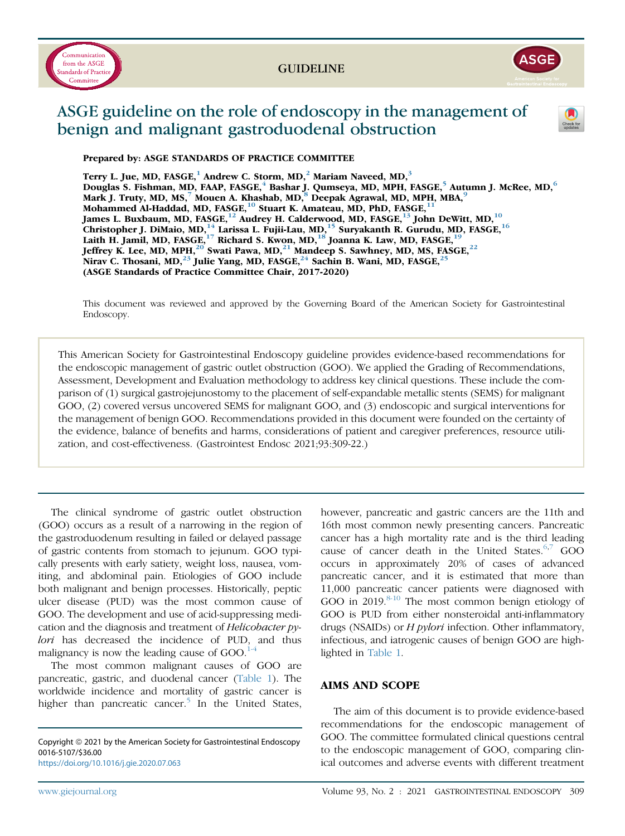



# ASGE guideline on the role of endoscopy in the management of benign and malignant gastroduodenal obstruction



Prepared by: ASGE STANDARDS OF PRACTICE COMMITTEE

Terry L. Jue, MD, FASGE,<sup>1</sup> Andrew C. Storm, MD,<sup>2</sup> Mariam Naveed, MD,<sup>3</sup> Douglas S. Fishman, MD, FAAP, FASGE,<sup>4</sup> Bashar J. Qumseya, MD, MPH, FASGE,<sup>5</sup> Autumn J. McRee, MD,<sup>6</sup> Mark J. Truty, MD, MS,<sup>7</sup> Mouen A. Khashab, MD,<sup>8</sup> Deepak Agrawal, MD, MPH, MBA,<sup>9</sup> Mohammed Al-Haddad, MD, FASGE,<sup>10</sup> Stuart K. Amateau, MD, PhD, FASGE,<sup>11</sup> James L. Buxbaum, MD, FASGE,<sup>12</sup> Audrey H. Calderwood, MD, FASGE,<sup>13</sup> John DeWitt, MD,<sup>10</sup> Christopher J. DiMaio, MD, $^{14}$  Larissa L. Fujii-Lau, MD, $^{15}$  Suryakanth R. Gurudu, MD, FASGE, $^{16}$ Laith H. Jamil, MD, FASGE,<sup>17</sup> Richard S. Kwon, MD,<sup>18</sup> Joanna K. Law, MD, FASGE,<sup>19</sup> Jeffrey K. Lee, MD, MPH, $^{20}$  Swati Pawa, MD, $^{21}$  Mandeep S. Sawhney, MD, MS, FASGE, $^{22}$ Nirav C. Thosani, MD,<sup>23</sup> Julie Yang, MD, FASGE,<sup>24</sup> Sachin B. Wani, MD, FASGE,<sup>2</sup> (ASGE Standards of Practice Committee Chair, 2017-2020)

This document was reviewed and approved by the Governing Board of the American Society for Gastrointestinal Endoscopy.

This American Society for Gastrointestinal Endoscopy guideline provides evidence-based recommendations for the endoscopic management of gastric outlet obstruction (GOO). We applied the Grading of Recommendations, Assessment, Development and Evaluation methodology to address key clinical questions. These include the comparison of (1) surgical gastrojejunostomy to the placement of self-expandable metallic stents (SEMS) for malignant GOO, (2) covered versus uncovered SEMS for malignant GOO, and (3) endoscopic and surgical interventions for the management of benign GOO. Recommendations provided in this document were founded on the certainty of the evidence, balance of benefits and harms, considerations of patient and caregiver preferences, resource utilization, and cost-effectiveness. (Gastrointest Endosc 2021;93:309-22.)

The clinical syndrome of gastric outlet obstruction (GOO) occurs as a result of a narrowing in the region of the gastroduodenum resulting in failed or delayed passage of gastric contents from stomach to jejunum. GOO typically presents with early satiety, weight loss, nausea, vomiting, and abdominal pain. Etiologies of GOO include both malignant and benign processes. Historically, peptic ulcer disease (PUD) was the most common cause of GOO. The development and use of acid-suppressing medication and the diagnosis and treatment of Helicobacter pylori has decreased the incidence of PUD, and thus malignancy is now the leading cause of  $GOO.<sup>1-4</sup>$  $GOO.<sup>1-4</sup>$  $GOO.<sup>1-4</sup>$ 

The most common malignant causes of GOO are pancreatic, gastric, and duodenal cancer ([Table 1\)](#page-1-0). The worldwide incidence and mortality of gastric cancer is higher than pancreatic cancer.<sup>[5](#page-11-1)</sup> In the United States,

Copyright @ 2021 by the American Society for Gastrointestinal Endoscopy 0016-5107/\$36.00 <https://doi.org/10.1016/j.gie.2020.07.063>

however, pancreatic and gastric cancers are the 11th and 16th most common newly presenting cancers. Pancreatic cancer has a high mortality rate and is the third leading cause of cancer death in the United States. $6,7$  $6,7$  GOO occurs in approximately 20% of cases of advanced pancreatic cancer, and it is estimated that more than 11,000 pancreatic cancer patients were diagnosed with GOO in  $2019$ .<sup>[8-10](#page-11-4)</sup> The most common benign etiology of GOO is PUD from either nonsteroidal anti-inflammatory drugs (NSAIDs) or *H pylori* infection. Other inflammatory, infectious, and iatrogenic causes of benign GOO are highlighted in [Table 1](#page-1-0).

#### AIMS AND SCOPE

The aim of this document is to provide evidence-based recommendations for the endoscopic management of GOO. The committee formulated clinical questions central to the endoscopic management of GOO, comparing clinical outcomes and adverse events with different treatment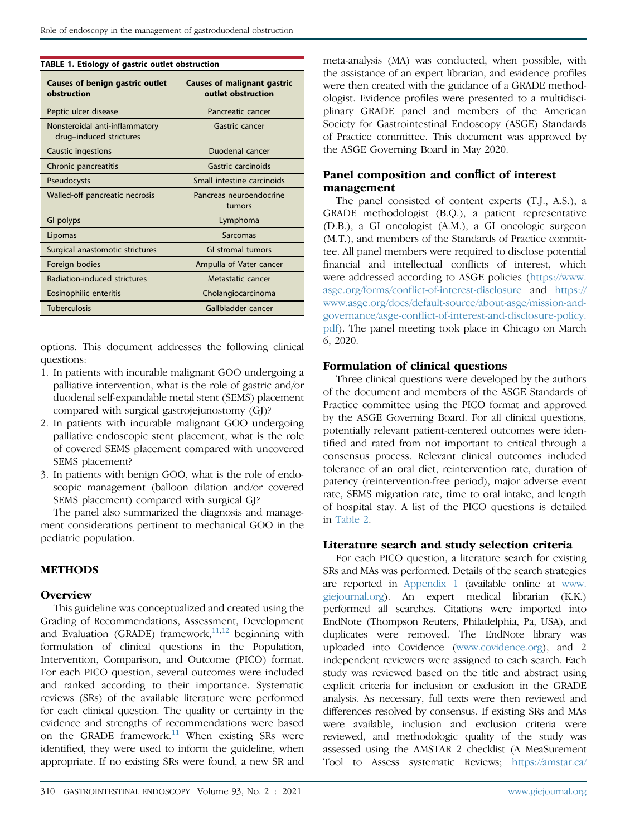<span id="page-1-0"></span>

|  |  |  |  |  | TABLE 1. Etiology of gastric outlet obstruction |
|--|--|--|--|--|-------------------------------------------------|
|--|--|--|--|--|-------------------------------------------------|

| <b>Causes of benign gastric outlet</b><br>obstruction     | <b>Causes of malignant gastric</b><br>outlet obstruction |
|-----------------------------------------------------------|----------------------------------------------------------|
| Peptic ulcer disease                                      | Pancreatic cancer                                        |
| Nonsteroidal anti-inflammatory<br>drug-induced strictures | Gastric cancer                                           |
| Caustic ingestions                                        | Duodenal cancer                                          |
| Chronic pancreatitis                                      | Gastric carcinoids                                       |
| Pseudocysts                                               | Small intestine carcinoids                               |
| Walled-off pancreatic necrosis                            | Pancreas neuroendocrine<br>tumors                        |
| GI polyps                                                 | Lymphoma                                                 |
| Lipomas                                                   | Sarcomas                                                 |
| Surgical anastomotic strictures                           | <b>GI stromal tumors</b>                                 |
| Foreign bodies                                            | Ampulla of Vater cancer                                  |
| Radiation-induced strictures                              | Metastatic cancer                                        |
| Eosinophilic enteritis                                    | Cholangiocarcinoma                                       |
| <b>Tuberculosis</b>                                       | Gallbladder cancer                                       |

options. This document addresses the following clinical questions:

- 1. In patients with incurable malignant GOO undergoing a palliative intervention, what is the role of gastric and/or duodenal self-expandable metal stent (SEMS) placement compared with surgical gastrojejunostomy (GJ)?
- 2. In patients with incurable malignant GOO undergoing palliative endoscopic stent placement, what is the role of covered SEMS placement compared with uncovered SEMS placement?
- 3. In patients with benign GOO, what is the role of endoscopic management (balloon dilation and/or covered SEMS placement) compared with surgical GJ?

The panel also summarized the diagnosis and management considerations pertinent to mechanical GOO in the pediatric population.

#### METHODS

#### **Overview**

This guideline was conceptualized and created using the Grading of Recommendations, Assessment, Development and Evaluation (GRADE) framework,  $11,12$  $11,12$  beginning with formulation of clinical questions in the Population, Intervention, Comparison, and Outcome (PICO) format. For each PICO question, several outcomes were included and ranked according to their importance. Systematic reviews (SRs) of the available literature were performed for each clinical question. The quality or certainty in the evidence and strengths of recommendations were based on the GRADE framework. $11$  When existing SRs were identified, they were used to inform the guideline, when appropriate. If no existing SRs were found, a new SR and meta-analysis (MA) was conducted, when possible, with the assistance of an expert librarian, and evidence profiles were then created with the guidance of a GRADE methodologist. Evidence profiles were presented to a multidisciplinary GRADE panel and members of the American Society for Gastrointestinal Endoscopy (ASGE) Standards of Practice committee. This document was approved by the ASGE Governing Board in May 2020.

#### Panel composition and conflict of interest management

The panel consisted of content experts (T.J., A.S.), a GRADE methodologist (B.Q.), a patient representative (D.B.), a GI oncologist (A.M.), a GI oncologic surgeon (M.T.), and members of the Standards of Practice committee. All panel members were required to disclose potential financial and intellectual conflicts of interest, which were addressed according to ASGE policies [\(https://www.](https://www.asge.org/forms/conflict-of-interest-disclosure) asge.org/forms/confl[ict-of-interest-disclosure](https://www.asge.org/forms/conflict-of-interest-disclosure) and [https://](https://www.asge.org/docs/default-source/about-asge/mission-and-governance/asge-conflict-of-interest-and-disclosure-policy.pdf) [www.asge.org/docs/default-source/about-asge/mission-and](https://www.asge.org/docs/default-source/about-asge/mission-and-governance/asge-conflict-of-interest-and-disclosure-policy.pdf)governance/asge-confl[ict-of-interest-and-disclosure-policy.](https://www.asge.org/docs/default-source/about-asge/mission-and-governance/asge-conflict-of-interest-and-disclosure-policy.pdf) [pdf\)](https://www.asge.org/docs/default-source/about-asge/mission-and-governance/asge-conflict-of-interest-and-disclosure-policy.pdf). The panel meeting took place in Chicago on March 6, 2020.

#### Formulation of clinical questions

Three clinical questions were developed by the authors of the document and members of the ASGE Standards of Practice committee using the PICO format and approved by the ASGE Governing Board. For all clinical questions, potentially relevant patient-centered outcomes were identified and rated from not important to critical through a consensus process. Relevant clinical outcomes included tolerance of an oral diet, reintervention rate, duration of patency (reintervention-free period), major adverse event rate, SEMS migration rate, time to oral intake, and length of hospital stay. A list of the PICO questions is detailed in [Table 2](#page-2-0).

#### Literature search and study selection criteria

For each PICO question, a literature search for existing SRs and MAs was performed. Details of the search strategies are reported in [Appendix 1](#page-16-0) (available online at [www.](http://www.giejournal.org) [giejournal.org](http://www.giejournal.org)). An expert medical librarian (K.K.) performed all searches. Citations were imported into EndNote (Thompson Reuters, Philadelphia, Pa, USA), and duplicates were removed. The EndNote library was uploaded into Covidence [\(www.covidence.org\)](http://www.covidence.org), and 2 independent reviewers were assigned to each search. Each study was reviewed based on the title and abstract using explicit criteria for inclusion or exclusion in the GRADE analysis. As necessary, full texts were then reviewed and differences resolved by consensus. If existing SRs and MAs were available, inclusion and exclusion criteria were reviewed, and methodologic quality of the study was assessed using the AMSTAR 2 checklist (A MeaSurement Tool to Assess systematic Reviews; [https://amstar.ca/](https://amstar.ca/Amstar_Checklist.php)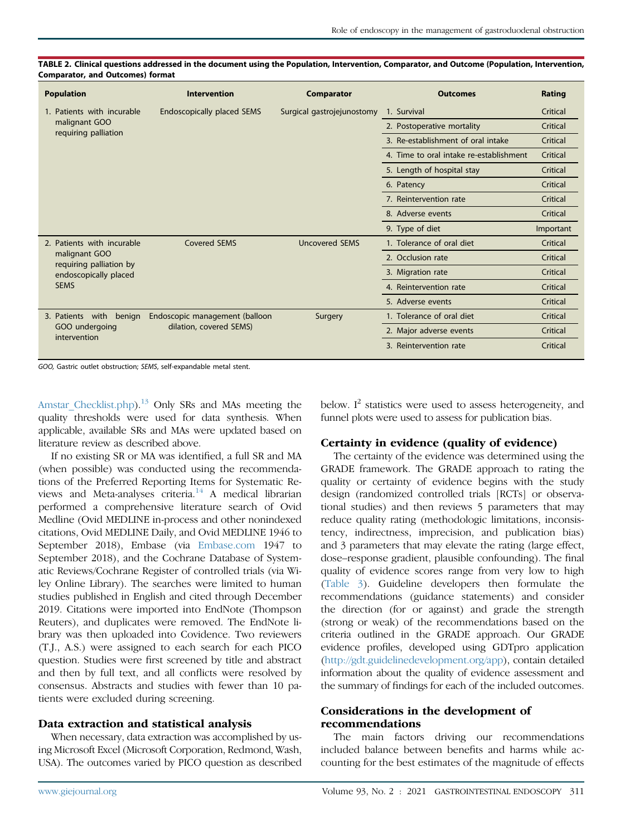| <b>Population</b>                        | <b>Intervention</b>            | <b>Comparator</b>          | <b>Outcomes</b>                         | Rating    |
|------------------------------------------|--------------------------------|----------------------------|-----------------------------------------|-----------|
| 1. Patients with incurable               | Endoscopically placed SEMS     | Surgical gastrojejunostomy | 1. Survival                             | Critical  |
| malignant GOO                            |                                |                            | 2. Postoperative mortality              | Critical  |
| requiring palliation                     |                                |                            | 3. Re-establishment of oral intake      | Critical  |
|                                          |                                |                            | 4. Time to oral intake re-establishment | Critical  |
|                                          |                                |                            | 5. Length of hospital stay              | Critical  |
|                                          |                                |                            | 6. Patency                              | Critical  |
|                                          |                                |                            | 7. Reintervention rate                  | Critical  |
|                                          |                                |                            | 8. Adverse events                       | Critical  |
|                                          |                                |                            | 9. Type of diet                         | Important |
| 2. Patients with incurable               | <b>Covered SEMS</b>            | <b>Uncovered SEMS</b>      | 1. Tolerance of oral diet               | Critical  |
| malignant GOO<br>requiring palliation by |                                |                            | 2. Occlusion rate                       | Critical  |
| endoscopically placed                    |                                |                            | 3. Migration rate                       | Critical  |
| <b>SEMS</b>                              |                                |                            | 4. Reintervention rate                  | Critical  |
|                                          |                                |                            | 5. Adverse events                       | Critical  |
| 3. Patients with<br>benign               | Endoscopic management (balloon | Surgery                    | 1. Tolerance of oral diet               | Critical  |
| GOO undergoing<br>intervention           | dilation, covered SEMS)        |                            | 2. Major adverse events                 | Critical  |
|                                          |                                |                            | 3. Reintervention rate                  | Critical  |

<span id="page-2-0"></span>TABLE 2. Clinical questions addressed in the document using the Population, Intervention, Comparator, and Outcome (Population, Intervention, Comparator, and Outcomes) format

GOO, Gastric outlet obstruction; SEMS, self-expandable metal stent.

Amstar Checklist.php).<sup>[13](#page-11-7)</sup> Only SRs and MAs meeting the quality thresholds were used for data synthesis. When applicable, available SRs and MAs were updated based on literature review as described above.

If no existing SR or MA was identified, a full SR and MA (when possible) was conducted using the recommendations of the Preferred Reporting Items for Systematic Re-views and Meta-analyses criteria.<sup>[14](#page-11-8)</sup> A medical librarian performed a comprehensive literature search of Ovid Medline (Ovid MEDLINE in-process and other nonindexed citations, Ovid MEDLINE Daily, and Ovid MEDLINE 1946 to September 2018), Embase (via [Embase.com](http://Embase.com) 1947 to September 2018), and the Cochrane Database of Systematic Reviews/Cochrane Register of controlled trials (via Wiley Online Library). The searches were limited to human studies published in English and cited through December 2019. Citations were imported into EndNote (Thompson Reuters), and duplicates were removed. The EndNote library was then uploaded into Covidence. Two reviewers (T.J., A.S.) were assigned to each search for each PICO question. Studies were first screened by title and abstract and then by full text, and all conflicts were resolved by consensus. Abstracts and studies with fewer than 10 patients were excluded during screening.

#### Data extraction and statistical analysis

When necessary, data extraction was accomplished by using Microsoft Excel (Microsoft Corporation, Redmond, Wash, USA). The outcomes varied by PICO question as described below.  $I^2$  statistics were used to assess heterogeneity, and funnel plots were used to assess for publication bias.

#### Certainty in evidence (quality of evidence)

The certainty of the evidence was determined using the GRADE framework. The GRADE approach to rating the quality or certainty of evidence begins with the study design (randomized controlled trials [RCTs] or observational studies) and then reviews 5 parameters that may reduce quality rating (methodologic limitations, inconsistency, indirectness, imprecision, and publication bias) and 3 parameters that may elevate the rating (large effect, dose–response gradient, plausible confounding). The final quality of evidence scores range from very low to high [\(Table 3](#page-3-0)). Guideline developers then formulate the recommendations (guidance statements) and consider the direction (for or against) and grade the strength (strong or weak) of the recommendations based on the criteria outlined in the GRADE approach. Our GRADE evidence profiles, developed using GDTpro application [\(http://gdt.guidelinedevelopment.org/app](http://gdt.guidelinedevelopment.org/app)), contain detailed information about the quality of evidence assessment and the summary of findings for each of the included outcomes.

#### Considerations in the development of recommendations

The main factors driving our recommendations included balance between benefits and harms while accounting for the best estimates of the magnitude of effects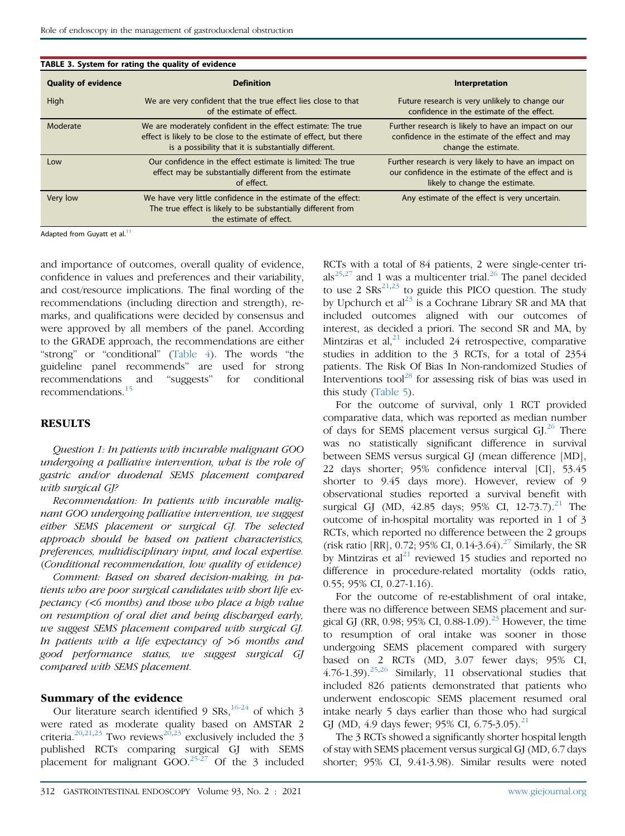<span id="page-3-0"></span>

|                            | TABLE 3. System for rating the quality of evidence                                                                                                                                        |                                                                                                                                               |  |  |  |  |  |  |
|----------------------------|-------------------------------------------------------------------------------------------------------------------------------------------------------------------------------------------|-----------------------------------------------------------------------------------------------------------------------------------------------|--|--|--|--|--|--|
| <b>Quality of evidence</b> | <b>Definition</b>                                                                                                                                                                         | Interpretation                                                                                                                                |  |  |  |  |  |  |
| High                       | We are very confident that the true effect lies close to that<br>of the estimate of effect.                                                                                               | Future research is very unlikely to change our<br>confidence in the estimate of the effect.                                                   |  |  |  |  |  |  |
| Moderate                   | We are moderately confident in the effect estimate: The true<br>effect is likely to be close to the estimate of effect, but there<br>is a possibility that it is substantially different. | Further research is likely to have an impact on our<br>confidence in the estimate of the effect and may<br>change the estimate.               |  |  |  |  |  |  |
| Low                        | Our confidence in the effect estimate is limited: The true<br>effect may be substantially different from the estimate<br>of effect.                                                       | Further research is very likely to have an impact on<br>our confidence in the estimate of the effect and is<br>likely to change the estimate. |  |  |  |  |  |  |
| Very low                   | We have very little confidence in the estimate of the effect:<br>The true effect is likely to be substantially different from<br>the estimate of effect.                                  | Any estimate of the effect is very uncertain.                                                                                                 |  |  |  |  |  |  |
|                            |                                                                                                                                                                                           |                                                                                                                                               |  |  |  |  |  |  |

Adapted from Guyatt et al.<sup>[11](#page-11-5)</sup>

and importance of outcomes, overall quality of evidence, confidence in values and preferences and their variability, and cost/resource implications. The final wording of the recommendations (including direction and strength), remarks, and qualifications were decided by consensus and were approved by all members of the panel. According to the GRADE approach, the recommendations are either "strong" or "conditional" ([Table 4\)](#page-4-0). The words "the guideline panel recommends" are used for strong recommendations and "suggests" for conditional recommendations.[15](#page-11-9)

#### **RESULTS**

Question 1: In patients with incurable malignant GOO undergoing a palliative intervention, what is the role of gastric and/or duodenal SEMS placement compared with surgical GJ?

Recommendation: In patients with incurable malignant GOO undergoing palliative intervention, we suggest either SEMS placement or surgical GJ. The selected approach should be based on patient characteristics, preferences, multidisciplinary input, and local expertise. (Conditional recommendation, low quality of evidence)

Comment: Based on shared decision-making, in patients who are poor surgical candidates with short life expectancy (<6 months) and those who place a high value on resumption of oral diet and being discharged early, we suggest SEMS placement compared with surgical GJ. In patients with a life expectancy of >6 months and good performance status, we suggest surgical GJ compared with SEMS placement.

#### Summary of the evidence

Our literature search identified 9 SRs,  $16-24$  of which 3 were rated as moderate quality based on AMSTAR 2 criteria.<sup>[20](#page-11-11),[21](#page-11-12)[,23](#page-11-13)</sup> Two reviews<sup>20,23</sup> exclusively included the 3 published RCTs comparing surgical GJ with SEMS placement for malignant  $600^{25-27}$  $600^{25-27}$  $600^{25-27}$  Of the 3 included RCTs with a total of 84 patients, 2 were single-center tri-als<sup>[25,](#page-11-14)[27](#page-11-15)</sup> and 1 was a multicenter trial.<sup>[26](#page-11-16)</sup> The panel decided to use 2  $SRs^{21,23}$  $SRs^{21,23}$  $SRs^{21,23}$  $SRs^{21,23}$  to guide this PICO question. The study by Upchurch et  $al^{23}$  $al^{23}$  $al^{23}$  is a Cochrane Library SR and MA that included outcomes aligned with our outcomes of interest, as decided a priori. The second SR and MA, by Mintziras et al, $^{21}$  $^{21}$  $^{21}$  included 24 retrospective, comparative studies in addition to the 3 RCTs, for a total of 2354 patients. The Risk Of Bias In Non-randomized Studies of Interventions tool<sup>[28](#page-11-17)</sup> for assessing risk of bias was used in this study ([Table 5\)](#page-5-0).

For the outcome of survival, only 1 RCT provided comparative data, which was reported as median number of days for SEMS placement versus surgical  $GI<sup>26</sup>$  $GI<sup>26</sup>$  $GI<sup>26</sup>$  There was no statistically significant difference in survival between SEMS versus surgical GJ (mean difference [MD], 22 days shorter; 95% confidence interval [CI], 53.45 shorter to 9.45 days more). However, review of 9 observational studies reported a survival benefit with surgical GJ (MD,  $42.85$  days;  $95\%$  CI,  $12-73.7$ ).<sup>[21](#page-11-12)</sup> The outcome of in-hospital mortality was reported in 1 of 3 RCTs, which reported no difference between the 2 groups (risk ratio [RR], 0.72; 95% CI, 0.14-3.64).<sup>[27](#page-11-15)</sup> Similarly, the SR by Mintziras et al<sup>[21](#page-11-12)</sup> reviewed 15 studies and reported no difference in procedure-related mortality (odds ratio, 0.55; 95% CI, 0.27-1.16).

For the outcome of re-establishment of oral intake, there was no difference between SEMS placement and sur-gical GJ (RR, 0.98; 95% CI, 0.88-1.09).<sup>[23](#page-11-13)</sup> However, the time to resumption of oral intake was sooner in those undergoing SEMS placement compared with surgery based on 2 RCTs (MD, 3.07 fewer days; 95% CI, 4.76-1.39). $25,26$  $25,26$  Similarly, 11 observational studies that included 826 patients demonstrated that patients who underwent endoscopic SEMS placement resumed oral intake nearly 5 days earlier than those who had surgical GJ (MD, 4.9 days fewer; 95% CI, 6.75-3.05).<sup>[21](#page-11-12)</sup>

The 3 RCTs showed a significantly shorter hospital length of stay with SEMS placement versus surgical GJ (MD, 6.7 days shorter; 95% CI, 9.41-3.98). Similar results were noted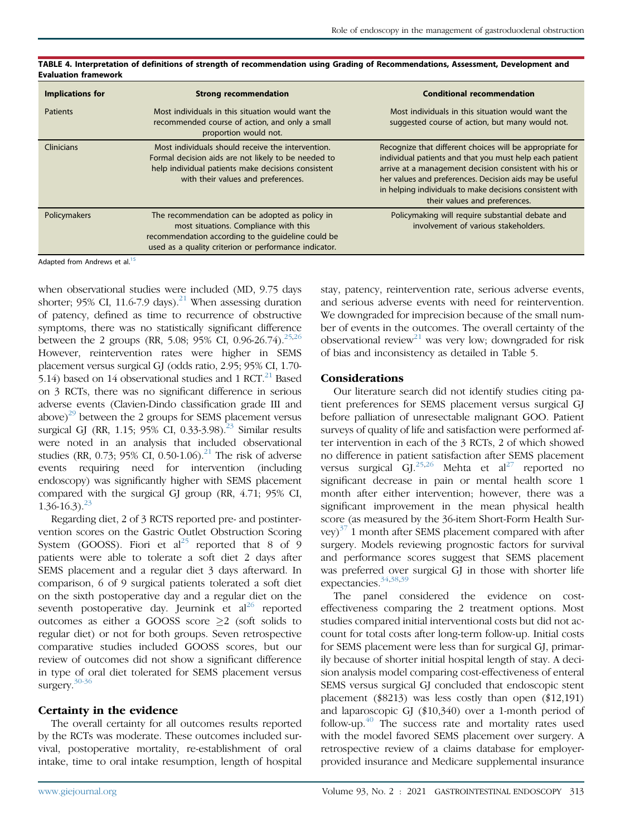| <b>Implications for</b> | <b>Strong recommendation</b>                                                                                                                                                                           | <b>Conditional recommendation</b>                                                                                                                                                                                                                                                                                                     |
|-------------------------|--------------------------------------------------------------------------------------------------------------------------------------------------------------------------------------------------------|---------------------------------------------------------------------------------------------------------------------------------------------------------------------------------------------------------------------------------------------------------------------------------------------------------------------------------------|
| Patients                | Most individuals in this situation would want the<br>recommended course of action, and only a small<br>proportion would not.                                                                           | Most individuals in this situation would want the<br>suggested course of action, but many would not.                                                                                                                                                                                                                                  |
| Clinicians              | Most individuals should receive the intervention.<br>Formal decision aids are not likely to be needed to<br>help individual patients make decisions consistent<br>with their values and preferences.   | Recognize that different choices will be appropriate for<br>individual patients and that you must help each patient<br>arrive at a management decision consistent with his or<br>her values and preferences. Decision aids may be useful<br>in helping individuals to make decisions consistent with<br>their values and preferences. |
| Policymakers            | The recommendation can be adopted as policy in<br>most situations. Compliance with this<br>recommendation according to the quideline could be<br>used as a quality criterion or performance indicator. | Policymaking will require substantial debate and<br>involvement of various stakeholders.                                                                                                                                                                                                                                              |

<span id="page-4-0"></span>TABLE 4. Interpretation of definitions of strength of recommendation using Grading of Recommendations, Assessment, Development and Evaluation framework

Adapted from Andrews et al.<sup>[15](#page-11-9)</sup>

when observational studies were included (MD, 9.75 days shorter; 95% CI, 11.6-7.9 days).<sup>[21](#page-11-12)</sup> When assessing duration of patency, defined as time to recurrence of obstructive symptoms, there was no statistically significant difference between the 2 groups (RR, 5.08; 95% CI, 0.96-26.74).<sup>25[,26](#page-11-16)</sup> However, reintervention rates were higher in SEMS placement versus surgical GJ (odds ratio, 2.95; 95% CI, 1.70- 5.14) based on 14 observational studies and 1  $\text{RCT}^{21}$  $\text{RCT}^{21}$  $\text{RCT}^{21}$  Based on 3 RCTs, there was no significant difference in serious adverse events (Clavien-Dindo classification grade III and above) $^{29}$  between the 2 groups for SEMS placement versus surgical GJ (RR, 1.15;  $95\%$  CI, 0.33-3.98).<sup>[23](#page-11-13)</sup> Similar results were noted in an analysis that included observational studies (RR, 0.73; 95% CI, 0.50-1.06).<sup>[21](#page-11-12)</sup> The risk of adverse events requiring need for intervention (including endoscopy) was significantly higher with SEMS placement compared with the surgical GJ group (RR, 4.71; 95% CI,  $1.36 - 16.3$ .<sup>[23](#page-11-13)</sup>

Regarding diet, 2 of 3 RCTS reported pre- and postintervention scores on the Gastric Outlet Obstruction Scoring System (GOOSS). Fiori et  $al^{25}$  $al^{25}$  $al^{25}$  reported that 8 of 9 patients were able to tolerate a soft diet 2 days after SEMS placement and a regular diet 3 days afterward. In comparison, 6 of 9 surgical patients tolerated a soft diet on the sixth postoperative day and a regular diet on the seventh postoperative day. Jeurnink et  $al^{26}$  $al^{26}$  $al^{26}$  reported outcomes as either a GOOSS score  $\geq$ 2 (soft solids to regular diet) or not for both groups. Seven retrospective comparative studies included GOOSS scores, but our review of outcomes did not show a significant difference in type of oral diet tolerated for SEMS placement versus surgery.<sup>[30-36](#page-11-19)</sup>

#### Certainty in the evidence

The overall certainty for all outcomes results reported by the RCTs was moderate. These outcomes included survival, postoperative mortality, re-establishment of oral intake, time to oral intake resumption, length of hospital stay, patency, reintervention rate, serious adverse events, and serious adverse events with need for reintervention. We downgraded for imprecision because of the small number of events in the outcomes. The overall certainty of the observational review<sup>[21](#page-11-12)</sup> was very low; downgraded for risk of bias and inconsistency as detailed in Table 5.

#### Considerations

Our literature search did not identify studies citing patient preferences for SEMS placement versus surgical GJ before palliation of unresectable malignant GOO. Patient surveys of quality of life and satisfaction were performed after intervention in each of the 3 RCTs, 2 of which showed no difference in patient satisfaction after SEMS placement versus surgical GJ.<sup>[25,](#page-11-14)[26](#page-11-16)</sup> Mehta et al<sup>[27](#page-11-15)</sup> reported no significant decrease in pain or mental health score 1 month after either intervention; however, there was a significant improvement in the mean physical health score (as measured by the 36-item Short-Form Health Survey) $3/1$  month after SEMS placement compared with after surgery. Models reviewing prognostic factors for survival and performance scores suggest that SEMS placement was preferred over surgical GJ in those with shorter life expectancies.<sup>[34,](#page-11-21)[38](#page-11-22)[,39](#page-12-0)</sup>

The panel considered the evidence on costeffectiveness comparing the 2 treatment options. Most studies compared initial interventional costs but did not account for total costs after long-term follow-up. Initial costs for SEMS placement were less than for surgical GJ, primarily because of shorter initial hospital length of stay. A decision analysis model comparing cost-effectiveness of enteral SEMS versus surgical GJ concluded that endoscopic stent placement (\$8213) was less costly than open (\$12,191) and laparoscopic GJ (\$10,340) over a 1-month period of follow-up. $40$  The success rate and mortality rates used with the model favored SEMS placement over surgery. A retrospective review of a claims database for employerprovided insurance and Medicare supplemental insurance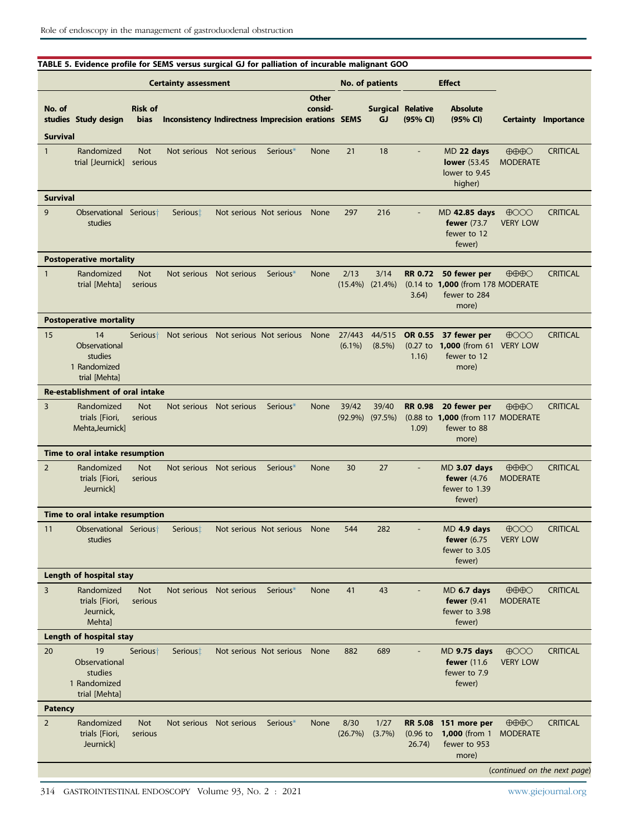#### Certainty assessment The Controller Certainty assessment No. of patients Effect Certainty Importance No. of studies Study design Risk of bias Inconsistency Indirectness Imprecision erations SEMS **Other** consid-Surgical Relative GJ (95% CI) Absolute (95% CI) Survival 1 Randomized trial [Jeurnick] Not serious Not serious Not serious Seriou[s\\*](#page-6-0) None 21 18 - MD 22 days **lower** (53.45) lower to 9.45 higher)  $\bigoplus\bigoplus\bigodot$ MODERATE **CRITICAL** Survival 9 Observational Serious studies Serious<sup>†</sup> Not serious Not serious None 297 216 - MD 42.85 days fewer (73.7 fewer to 12 fewer)  $\bigoplus$ OOO VERY LOW **CRITICAL** Postoperative mortality 1 Randomized trial [Mehta] Not serious Not serious Not serious Seriou[s\\*](#page-6-0) None 2/13 (15.4%) 3/14 (21.4%) RR 0.72 50 fewer per (0.14 to 1,000 (from 178 MODERATE 3.64) fewer to 284 more)  $\bigoplus\bigoplus\bigodot$ **CRITICAL** Postoperative mortality 15 14 **Observational** studies 1 Randomized trial [Mehta] Serious<sup>+</sup> Not serious Not serious Not serious None 27/443 (6.1%) 44/515 (8.5%) OR 0.55 37 fewer per (0.27 to 1,000 (from 61 VERY LOW 1.16) fewer to 12 more)  $4000$ **CRITICAL** Re-establishment of oral intake 3 Randomized trials [Fiori, Mehta,Jeurnick] Not serious Not serious Not serious Seriou[s\\*](#page-6-0) None 39/42 (92.9%) 39/40 (97.5%) RR 0.98 20 fewer per (0.88 to 1,000 (from 117 MODERATE 1.09) fewer to 88 more)  $\oplus\oplus\oplus\bigcirc$ **CRITICAL** Time to oral intake resumption 2 Randomized trials [Fiori, Jeurnick] Not serious Not serious Not serious Seriou[s\\*](#page-6-0) None 30 27 - MD 3.07 days fewer (4.76 fewer to 1.39 fewer)  $\bigoplus\bigoplus\bigodot$ MODERATE **CRITICAL** Time to oral intake resumption 11 Observational Serious<sup>+</sup> studies Serious<sup>†</sup> Not serious Not serious None 544 282 - MD **4.9 days** fewer (6.75 fewer to 3.05 fewer)  $\bigoplus$ OOO VERY LOW **CRITICAL** Length of hospital stay 3 Randomized trials [Fiori, Jeurnick, Mehta] Not serious Not serious Not serious Seriou[s\\*](#page-6-0) None 41 43 - MD 6.7 days fewer (9.41 fewer to 3.98 fewer)  $\oplus \oplus \oplus \odot$ **MODERATE CRITICAL** Length of hospital stay 20 19 **Observational** studies 1 Randomized trial [Mehta] Serious<sup>+</sup> Serious<sup>+</sup> Not serious Not serious None 882 689 - MD 9.75 days fewer (11.6 fewer to 7.9 fewer)  $\bigoplus$ OOO VERY LOW **CRITICAL** Patency

#### <span id="page-5-0"></span>TABLE 5. Evidence profile for SEMS versus surgical GJ for palliation of incurable malignant GOO

314 GASTROINTESTINAL ENDOSCOPY Volume 93, No. 2 : 2021 [www.giejournal.org](http://www.giejournal.org)

Not serious Not serious Seriou[s\\*](#page-6-0) None 8/30

(26.7%)

1/27 (3.7%) RR 5.08 (0.96 to 26.74)

151 more per 1,000 (from 1 fewer to 953 more)

Not serious

2 Randomized trials [Fiori, Jeurnick]

(continued on the next page)

**CRITICAL** 

 $\oplus \oplus \oplus \odot$ MODERATE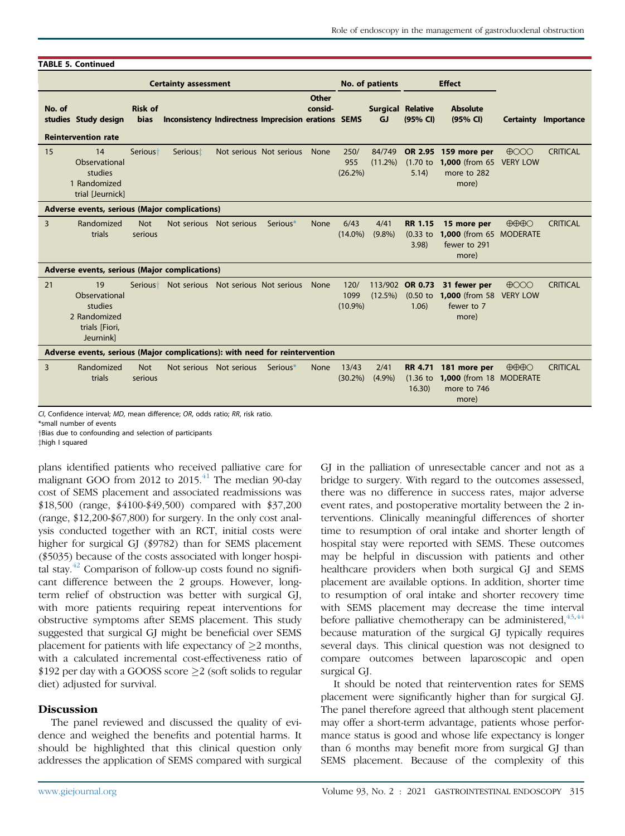|        | <b>TABLE 5. Continued</b>                                                     |                               |                                                      |                         |                         |                  |                            |                                       |                                        |                                                                 |                                                 |                             |
|--------|-------------------------------------------------------------------------------|-------------------------------|------------------------------------------------------|-------------------------|-------------------------|------------------|----------------------------|---------------------------------------|----------------------------------------|-----------------------------------------------------------------|-------------------------------------------------|-----------------------------|
|        | <b>Certainty assessment</b>                                                   |                               |                                                      |                         |                         |                  | No. of patients            |                                       | <b>Effect</b>                          |                                                                 |                                                 |                             |
| No. of | studies Study design<br><b>Reintervention rate</b>                            | <b>Risk of</b><br><b>bias</b> | Inconsistency Indirectness Imprecision erations SEMS |                         |                         | Other<br>consid- |                            | <b>Surgical Relative</b><br><b>GJ</b> | (95% CI)                               | <b>Absolute</b><br>(95% CI)                                     |                                                 | <b>Certainty Importance</b> |
| 15     | 14<br>Observational<br>studies<br>1 Randomized<br>trial [Jeurnick]            | Serious <sup>+</sup>          | Serious <sup>†</sup>                                 |                         | Not serious Not serious | None             | 250/<br>955<br>$(26.2\%)$  | 84/749<br>$(11.2\%)$                  | OR 2.95<br>$(1.70)$ to<br>5.14)        | 159 more per<br><b>1,000</b> (from 65)<br>more to 282<br>more)  | $\bigoplus$ OOO<br><b>VERY LOW</b>              | <b>CRITICAL</b>             |
|        | Adverse events, serious (Major complications)                                 |                               |                                                      |                         |                         |                  |                            |                                       |                                        |                                                                 |                                                 |                             |
| 3      | Randomized<br>trials                                                          | <b>Not</b><br>serious         | Not serious Not serious                              |                         | Serious*                | None             | 6/43<br>$(14.0\%)$         | 4/41<br>$(9.8\%)$                     | <b>RR 1.15</b><br>$(0.33)$ to<br>3.98  | 15 more per<br>1,000 (from 65 MODERATE<br>fewer to 291<br>more) | $\bigoplus\bigoplus\bigodot$                    | <b>CRITICAL</b>             |
|        | Adverse events, serious (Major complications)                                 |                               |                                                      |                         |                         |                  |                            |                                       |                                        |                                                                 |                                                 |                             |
| 21     | 19<br>Observational<br>studies<br>2 Randomized<br>trials [Fiori,<br>Jeurnink] | Serious <sup>+</sup>          | Not serious                                          | Not serious Not serious |                         | None             | 120/<br>1099<br>$(10.9\%)$ | 113/902<br>$(12.5\%)$                 | <b>OR 0.73</b><br>$(0.50)$ to<br>1.06) | 31 fewer per<br><b>1,000</b> (from 58<br>fewer to 7<br>more)    | $\bigoplus$<br><b>VERY LOW</b>                  | <b>CRITICAL</b>             |
|        | Adverse events, serious (Major complications): with need for reintervention   |                               |                                                      |                         |                         |                  |                            |                                       |                                        |                                                                 |                                                 |                             |
| 3      | Randomized<br>trials                                                          | <b>Not</b><br>serious         | Not serious Not serious                              |                         | Serious*                | None             | 13/43<br>$(30.2\%)$        | 2/41<br>$(4.9\%)$                     | <b>RR 4.71</b><br>$(1.36)$ to<br>16.30 | 181 more per<br><b>1,000</b> (from 18<br>more to 746<br>more)   | $\bigoplus\bigoplus\bigodot$<br><b>MODERATE</b> | <b>CRITICAL</b>             |

CI, Confidence interval; MD, mean difference; OR, odds ratio; RR, risk ratio.

<span id="page-6-0"></span>\*small number of events

†Bias due to confounding and selection of participants

zhigh I squared

plans identified patients who received palliative care for malignant GOO from 2012 to  $2015.<sup>41</sup>$  $2015.<sup>41</sup>$  $2015.<sup>41</sup>$  The median 90-day cost of SEMS placement and associated readmissions was \$18,500 (range, \$4100-\$49,500) compared with \$37,200 (range, \$12,200-\$67,800) for surgery. In the only cost analysis conducted together with an RCT, initial costs were higher for surgical GJ (\$9782) than for SEMS placement (\$5035) because of the costs associated with longer hospital stay. $42$  Comparison of follow-up costs found no significant difference between the 2 groups. However, longterm relief of obstruction was better with surgical GJ, with more patients requiring repeat interventions for obstructive symptoms after SEMS placement. This study suggested that surgical GJ might be beneficial over SEMS placement for patients with life expectancy of  $\geq 2$  months, with a calculated incremental cost-effectiveness ratio of \$192 per day with a GOOSS score  $\geq$  2 (soft solids to regular diet) adjusted for survival.

#### **Discussion**

The panel reviewed and discussed the quality of evidence and weighed the benefits and potential harms. It should be highlighted that this clinical question only addresses the application of SEMS compared with surgical

GJ in the palliation of unresectable cancer and not as a bridge to surgery. With regard to the outcomes assessed, there was no difference in success rates, major adverse event rates, and postoperative mortality between the 2 interventions. Clinically meaningful differences of shorter time to resumption of oral intake and shorter length of hospital stay were reported with SEMS. These outcomes may be helpful in discussion with patients and other healthcare providers when both surgical GJ and SEMS placement are available options. In addition, shorter time to resumption of oral intake and shorter recovery time with SEMS placement may decrease the time interval before palliative chemotherapy can be administered,  $43,44$  $43,44$ because maturation of the surgical GJ typically requires several days. This clinical question was not designed to compare outcomes between laparoscopic and open surgical GJ.

It should be noted that reintervention rates for SEMS placement were significantly higher than for surgical GJ. The panel therefore agreed that although stent placement may offer a short-term advantage, patients whose performance status is good and whose life expectancy is longer than 6 months may benefit more from surgical GJ than SEMS placement. Because of the complexity of this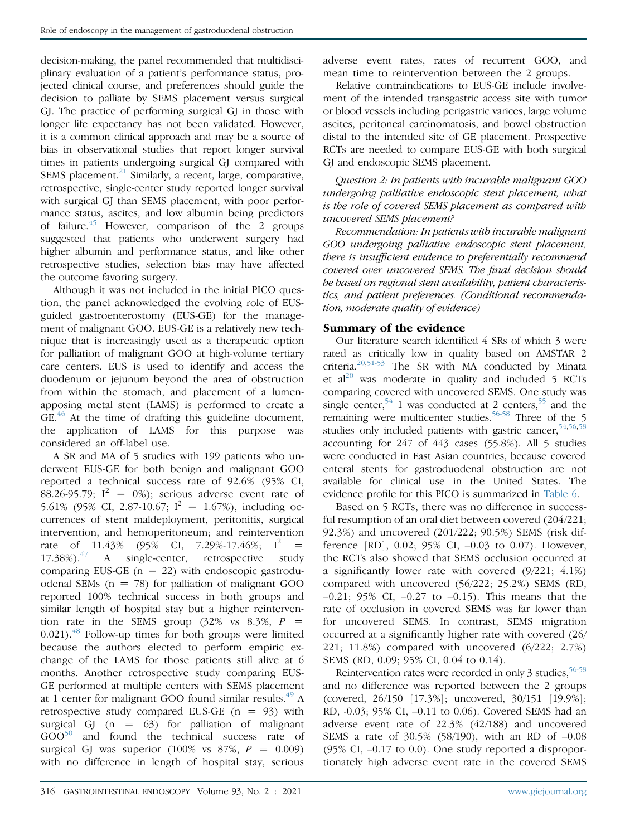decision-making, the panel recommended that multidisciplinary evaluation of a patient's performance status, projected clinical course, and preferences should guide the decision to palliate by SEMS placement versus surgical GJ. The practice of performing surgical GJ in those with longer life expectancy has not been validated. However, it is a common clinical approach and may be a source of bias in observational studies that report longer survival times in patients undergoing surgical GJ compared with SEMS placement. $^{21}$  $^{21}$  $^{21}$  Similarly, a recent, large, comparative, retrospective, single-center study reported longer survival with surgical GJ than SEMS placement, with poor performance status, ascites, and low albumin being predictors of failure.[45](#page-12-6) However, comparison of the 2 groups suggested that patients who underwent surgery had higher albumin and performance status, and like other retrospective studies, selection bias may have affected the outcome favoring surgery.

Although it was not included in the initial PICO question, the panel acknowledged the evolving role of EUSguided gastroenterostomy (EUS-GE) for the management of malignant GOO. EUS-GE is a relatively new technique that is increasingly used as a therapeutic option for palliation of malignant GOO at high-volume tertiary care centers. EUS is used to identify and access the duodenum or jejunum beyond the area of obstruction from within the stomach, and placement of a lumenapposing metal stent (LAMS) is performed to create a GE.<sup>[46](#page-12-7)</sup> At the time of drafting this guideline document, the application of LAMS for this purpose was considered an off-label use.

A SR and MA of 5 studies with 199 patients who underwent EUS-GE for both benign and malignant GOO reported a technical success rate of 92.6% (95% CI, 88.26-95.79;  $I^2 = 0\%$ ; serious adverse event rate of 5.61% (95% CI, 2.87-10.67;  $I^2 = 1.67\%$ ), including occurrences of stent maldeployment, peritonitis, surgical intervention, and hemoperitoneum; and reintervention rate of 11.43% (95% CI, 7.29%-17.46%;  $I^2$  =  $17.38\%$ ).<sup>[47](#page-12-8)</sup> A single-center, retrospective study comparing EUS-GE  $(n = 22)$  with endoscopic gastroduodenal SEMs  $(n = 78)$  for palliation of malignant GOO reported 100% technical success in both groups and similar length of hospital stay but a higher reintervention rate in the SEMS group  $(32\% \text{ vs } 8.3\%, P)$  $0.021$ ).<sup>[48](#page-12-9)</sup> Follow-up times for both groups were limited because the authors elected to perform empiric exchange of the LAMS for those patients still alive at 6 months. Another retrospective study comparing EUS-GE performed at multiple centers with SEMS placement at 1 center for malignant GOO found similar results. $^{49}$  $^{49}$  $^{49}$  A retrospective study compared EUS-GE  $(n = 93)$  with surgical GJ  $(n = 63)$  for palliation of malignant  $GOO<sup>50</sup>$  $GOO<sup>50</sup>$  $GOO<sup>50</sup>$  and found the technical success rate of surgical GJ was superior (100% vs  $87\%$ ,  $P = 0.009$ ) with no difference in length of hospital stay, serious

adverse event rates, rates of recurrent GOO, and mean time to reintervention between the 2 groups.

Relative contraindications to EUS-GE include involvement of the intended transgastric access site with tumor or blood vessels including perigastric varices, large volume ascites, peritoneal carcinomatosis, and bowel obstruction distal to the intended site of GE placement. Prospective RCTs are needed to compare EUS-GE with both surgical GJ and endoscopic SEMS placement.

Question 2: In patients with incurable malignant GOO undergoing palliative endoscopic stent placement, what is the role of covered SEMS placement as compared with uncovered SEMS placement?

Recommendation: In patients with incurable malignant GOO undergoing palliative endoscopic stent placement, there is insufficient evidence to preferentially recommend covered over uncovered SEMS. The final decision should be based on regional stent availability, patient characteristics, and patient preferences. (Conditional recommendation, moderate quality of evidence)

#### Summary of the evidence

Our literature search identified 4 SRs of which 3 were rated as critically low in quality based on AMSTAR 2 criteria. $20,51-53$  $20,51-53$  The SR with MA conducted by Minata et  $al^{20}$  $al^{20}$  $al^{20}$  was moderate in quality and included 5 RCTs comparing covered with uncovered SEMS. One study was single center,<sup>[54](#page-12-13)</sup> 1 was conducted at 2 centers,<sup>[55](#page-12-14)</sup> and the remaining were multicenter studies.<sup>[56-58](#page-12-15)</sup> Three of the 5 studies only included patients with gastric cancer,  $54,56,58$  $54,56,58$  $54,56,58$ accounting for 247 of 443 cases (55.8%). All 5 studies were conducted in East Asian countries, because covered enteral stents for gastroduodenal obstruction are not available for clinical use in the United States. The evidence profile for this PICO is summarized in [Table 6](#page-8-0).

Based on 5 RCTs, there was no difference in successful resumption of an oral diet between covered (204/221; 92.3%) and uncovered (201/222; 90.5%) SEMS (risk difference [RD], 0.02; 95% CI, –0.03 to 0.07). However, the RCTs also showed that SEMS occlusion occurred at a significantly lower rate with covered (9/221; 4.1%) compared with uncovered (56/222; 25.2%) SEMS (RD,  $-0.21$ ; 95% CI,  $-0.27$  to  $-0.15$ ). This means that the rate of occlusion in covered SEMS was far lower than for uncovered SEMS. In contrast, SEMS migration occurred at a significantly higher rate with covered (26/ 221; 11.8%) compared with uncovered (6/222; 2.7%) SEMS (RD, 0.09; 95% CI, 0.04 to 0.14).

Reintervention rates were recorded in only 3 studies,  $56-58$ and no difference was reported between the 2 groups (covered, 26/150 [17.3%]; uncovered, 30/151 [19.9%]; RD, -0.03; 95% CI, –0.11 to 0.06). Covered SEMS had an adverse event rate of 22.3% (42/188) and uncovered SEMS a rate of 30.5% (58/190), with an RD of –0.08 (95% CI, –0.17 to 0.0). One study reported a disproportionately high adverse event rate in the covered SEMS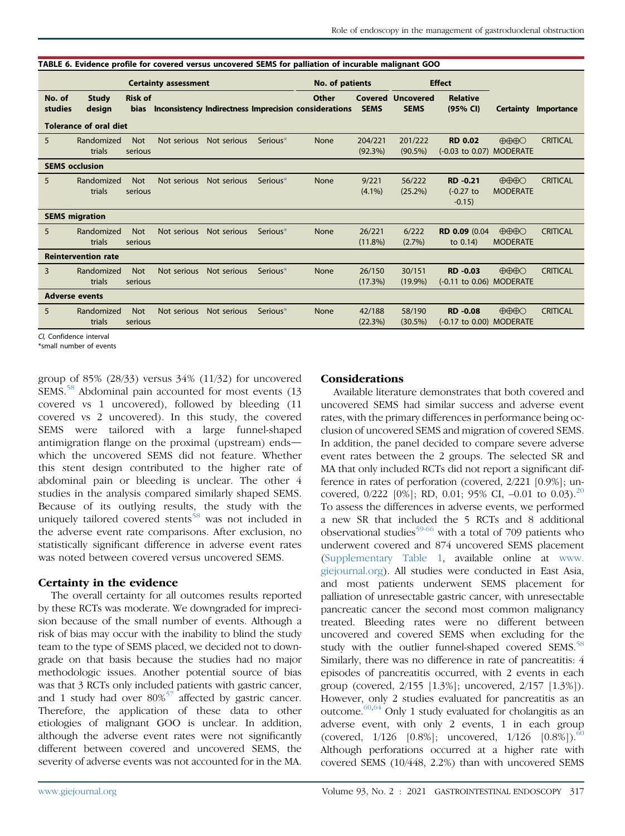|                       | <b>Certainty assessment</b>   |                               |             |             | No. of patients      |                                                                       |                    | <b>Effect</b>                           |                                            |                                                 |                 |
|-----------------------|-------------------------------|-------------------------------|-------------|-------------|----------------------|-----------------------------------------------------------------------|--------------------|-----------------------------------------|--------------------------------------------|-------------------------------------------------|-----------------|
| No. of<br>studies     | <b>Study</b><br>design        | <b>Risk of</b><br><b>bias</b> |             |             |                      | <b>Other</b><br>Inconsistency Indirectness Imprecision considerations | <b>SEMS</b>        | <b>Covered Uncovered</b><br><b>SEMS</b> | <b>Relative</b><br>(95% CI)                | <b>Certainty</b>                                | Importance      |
|                       | <b>Tolerance of oral diet</b> |                               |             |             |                      |                                                                       |                    |                                         |                                            |                                                 |                 |
| 5                     | Randomized<br>trials          | <b>Not</b><br>serious         | Not serious | Not serious | Serious <sup>*</sup> | None                                                                  | 204/221<br>(92.3%) | 201/222<br>$(90.5\%)$                   | <b>RD 0.02</b><br>(-0.03 to 0.07) MODERATE | $\bigoplus\bigoplus\bigodot$                    | <b>CRITICAL</b> |
| <b>SEMS occlusion</b> |                               |                               |             |             |                      |                                                                       |                    |                                         |                                            |                                                 |                 |
| 5                     | Randomized<br>trials          | <b>Not</b><br>serious         | Not serious | Not serious | Serious*             | None                                                                  | 9/221<br>$(4.1\%)$ | 56/222<br>$(25.2\%)$                    | <b>RD-0.21</b><br>$(-0.27)$ to<br>$-0.15)$ | $\bigoplus\bigoplus\bigcirc$<br><b>MODERATE</b> | <b>CRITICAL</b> |
|                       | <b>SEMS</b> migration         |                               |             |             |                      |                                                                       |                    |                                         |                                            |                                                 |                 |
| 5                     | Randomized<br>trials          | <b>Not</b><br>serious         | Not serious | Not serious | Serious <sup>*</sup> | None                                                                  | 26/221<br>(11.8%)  | 6/222<br>$(2.7\%)$                      | RD 0.09 (0.04<br>to $0.14$ )               | $\bigoplus\bigoplus\bigodot$<br><b>MODERATE</b> | <b>CRITICAL</b> |
|                       | <b>Reintervention rate</b>    |                               |             |             |                      |                                                                       |                    |                                         |                                            |                                                 |                 |
| 3                     | Randomized<br>trials          | <b>Not</b><br>serious         | Not serious | Not serious | Serious*             | None                                                                  | 26/150<br>(17.3%)  | 30/151<br>$(19.9\%)$                    | <b>RD-0.03</b><br>(-0.11 to 0.06) MODERATE | $\bigoplus\bigoplus\bigodot$                    | <b>CRITICAL</b> |
| <b>Adverse events</b> |                               |                               |             |             |                      |                                                                       |                    |                                         |                                            |                                                 |                 |
| 5                     | Randomized<br>trials          | <b>Not</b><br>serious         | Not serious | Not serious | Serious*             | None                                                                  | 42/188<br>(22.3%)  | 58/190<br>$(30.5\%)$                    | <b>RD-0.08</b><br>(-0.17 to 0.00) MODERATE | $\bigoplus \bigoplus \bigoplus \bigcap$         | <b>CRITICAL</b> |

<span id="page-8-0"></span>TABLE 6. Evidence profile for covered versus uncovered SEMS for palliation of incurable malignant GOO

CI, Confidence interval

<span id="page-8-1"></span>\*small number of events

group of 85% (28/33) versus 34% (11/32) for uncovered SEMS.<sup>[58](#page-12-16)</sup> Abdominal pain accounted for most events (13) covered vs 1 uncovered), followed by bleeding (11 covered vs 2 uncovered). In this study, the covered SEMS were tailored with a large funnel-shaped antimigration flange on the proximal (upstream) ends which the uncovered SEMS did not feature. Whether this stent design contributed to the higher rate of abdominal pain or bleeding is unclear. The other 4 studies in the analysis compared similarly shaped SEMS. Because of its outlying results, the study with the uniquely tailored covered stents<sup>[58](#page-12-16)</sup> was not included in the adverse event rate comparisons. After exclusion, no statistically significant difference in adverse event rates was noted between covered versus uncovered SEMS.

# Certainty in the evidence

The overall certainty for all outcomes results reported by these RCTs was moderate. We downgraded for imprecision because of the small number of events. Although a risk of bias may occur with the inability to blind the study team to the type of SEMS placed, we decided not to downgrade on that basis because the studies had no major methodologic issues. Another potential source of bias was that 3 RCTs only included patients with gastric cancer, and 1 study had over  $80\%^{57}$  $80\%^{57}$  $80\%^{57}$  affected by gastric cancer. Therefore, the application of these data to other etiologies of malignant GOO is unclear. In addition, although the adverse event rates were not significantly different between covered and uncovered SEMS, the severity of adverse events was not accounted for in the MA.

#### Considerations

Available literature demonstrates that both covered and uncovered SEMS had similar success and adverse event rates, with the primary differences in performance being occlusion of uncovered SEMS and migration of covered SEMS. In addition, the panel decided to compare severe adverse event rates between the 2 groups. The selected SR and MA that only included RCTs did not report a significant difference in rates of perforation (covered, 2/221 [0.9%]; uncovered,  $0/222$  [0%]; RD, 0.01; 95% CI, -0.01 to 0.03).<sup>[20](#page-11-11)</sup> To assess the differences in adverse events, we performed a new SR that included the 5 RCTs and 8 additional observational studies<sup>59-66</sup> with a total of 709 patients who underwent covered and 874 uncovered SEMS placement [\(Supplementary Table 1](#page-14-0), available online at [www.](http://www.giejournal.org) [giejournal.org\)](http://www.giejournal.org). All studies were conducted in East Asia, and most patients underwent SEMS placement for palliation of unresectable gastric cancer, with unresectable pancreatic cancer the second most common malignancy treated. Bleeding rates were no different between uncovered and covered SEMS when excluding for the study with the outlier funnel-shaped covered SEMS.<sup>[58](#page-12-16)</sup> Similarly, there was no difference in rate of pancreatitis: 4 episodes of pancreatitis occurred, with 2 events in each group (covered, 2/155 [1.3%]; uncovered, 2/157 [1.3%]). However, only 2 studies evaluated for pancreatitis as an outcome. $60,64$  $60,64$  Only 1 study evaluated for cholangitis as an adverse event, with only 2 events, 1 in each group (covered,  $1/126$  [0.8%]; uncovered,  $1/126$  [0.8%]).<sup>[60](#page-12-19)</sup> Although perforations occurred at a higher rate with covered SEMS (10/448, 2.2%) than with uncovered SEMS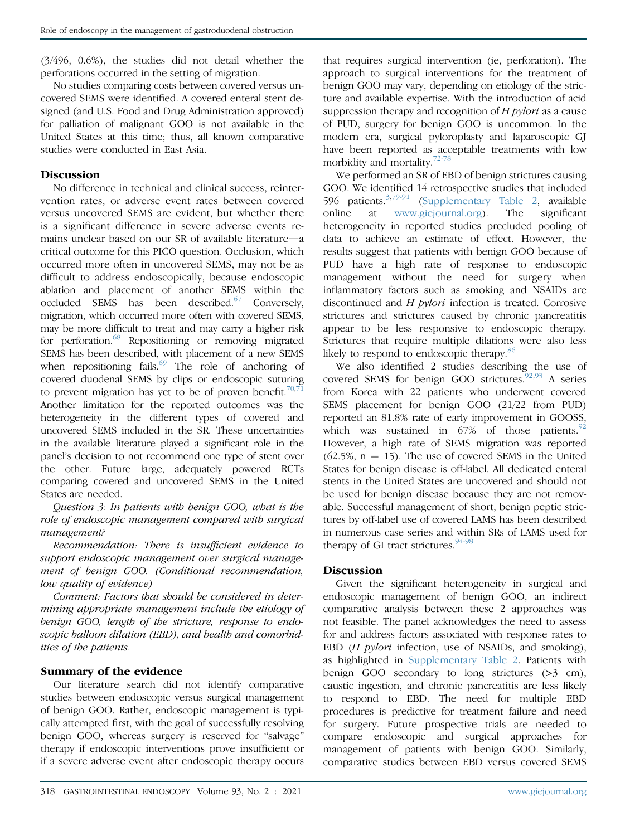(3/496, 0.6%), the studies did not detail whether the perforations occurred in the setting of migration.

No studies comparing costs between covered versus uncovered SEMS were identified. A covered enteral stent designed (and U.S. Food and Drug Administration approved) for palliation of malignant GOO is not available in the United States at this time; thus, all known comparative studies were conducted in East Asia.

#### **Discussion**

No difference in technical and clinical success, reintervention rates, or adverse event rates between covered versus uncovered SEMS are evident, but whether there is a significant difference in severe adverse events remains unclear based on our SR of available literature—a critical outcome for this PICO question. Occlusion, which occurred more often in uncovered SEMS, may not be as difficult to address endoscopically, because endoscopic ablation and placement of another SEMS within the occluded SEMS has been described. $67$  Conversely, migration, which occurred more often with covered SEMS, may be more difficult to treat and may carry a higher risk for perforation.<sup>[68](#page-12-22)</sup> Repositioning or removing migrated SEMS has been described, with placement of a new SEMS when repositioning fails. $69$  The role of anchoring of covered duodenal SEMS by clips or endoscopic suturing to prevent migration has yet to be of proven benefit.<sup>70,7</sup> Another limitation for the reported outcomes was the heterogeneity in the different types of covered and uncovered SEMS included in the SR. These uncertainties in the available literature played a significant role in the panel's decision to not recommend one type of stent over the other. Future large, adequately powered RCTs comparing covered and uncovered SEMS in the United States are needed.

Question 3: In patients with benign GOO, what is the role of endoscopic management compared with surgical management?

Recommendation: There is insufficient evidence to support endoscopic management over surgical management of benign GOO. (Conditional recommendation, low quality of evidence)

Comment: Factors that should be considered in determining appropriate management include the etiology of benign GOO, length of the stricture, response to endoscopic balloon dilation (EBD), and health and comorbidities of the patients.

#### Summary of the evidence

Our literature search did not identify comparative studies between endoscopic versus surgical management of benign GOO. Rather, endoscopic management is typically attempted first, with the goal of successfully resolving benign GOO, whereas surgery is reserved for "salvage" therapy if endoscopic interventions prove insufficient or if a severe adverse event after endoscopic therapy occurs

that requires surgical intervention (ie, perforation). The approach to surgical interventions for the treatment of benign GOO may vary, depending on etiology of the stricture and available expertise. With the introduction of acid suppression therapy and recognition of  $H$  *pylori* as a cause of PUD, surgery for benign GOO is uncommon. In the modern era, surgical pyloroplasty and laparoscopic GJ have been reported as acceptable treatments with low morbidity and mortality.[72-78](#page-12-26)

We performed an SR of EBD of benign strictures causing GOO. We identified 14 retrospective studies that included 596 patients.[3,](#page-11-23)[79-91](#page-13-0) ([Supplementary Table 2](#page-15-0), available online at [www.giejournal.org](http://www.giejournal.org)). The significant heterogeneity in reported studies precluded pooling of data to achieve an estimate of effect. However, the results suggest that patients with benign GOO because of PUD have a high rate of response to endoscopic management without the need for surgery when inflammatory factors such as smoking and NSAIDs are discontinued and H pylori infection is treated. Corrosive strictures and strictures caused by chronic pancreatitis appear to be less responsive to endoscopic therapy. Strictures that require multiple dilations were also less likely to respond to endoscopic therapy.<sup>[86](#page-13-1)</sup>

We also identified 2 studies describing the use of covered SEMS for benign GOO strictures. $92,93$  $92,93$  A series from Korea with 22 patients who underwent covered SEMS placement for benign GOO (21/22 from PUD) reported an 81.8% rate of early improvement in GOOSS, which was sustained in  $67\%$  of those patients.<sup>[92](#page-13-2)</sup> However, a high rate of SEMS migration was reported  $(62.5\%, n = 15)$ . The use of covered SEMS in the United States for benign disease is off-label. All dedicated enteral stents in the United States are uncovered and should not be used for benign disease because they are not removable. Successful management of short, benign peptic strictures by off-label use of covered LAMS has been described in numerous case series and within SRs of LAMS used for therapy of GI tract strictures. $94-98$ 

#### Discussion

Given the significant heterogeneity in surgical and endoscopic management of benign GOO, an indirect comparative analysis between these 2 approaches was not feasible. The panel acknowledges the need to assess for and address factors associated with response rates to EBD (*H pylori* infection, use of NSAIDs, and smoking), as highlighted in [Supplementary Table 2.](#page-15-0) Patients with benign GOO secondary to long strictures (>3 cm), caustic ingestion, and chronic pancreatitis are less likely to respond to EBD. The need for multiple EBD procedures is predictive for treatment failure and need for surgery. Future prospective trials are needed to compare endoscopic and surgical approaches for management of patients with benign GOO. Similarly, comparative studies between EBD versus covered SEMS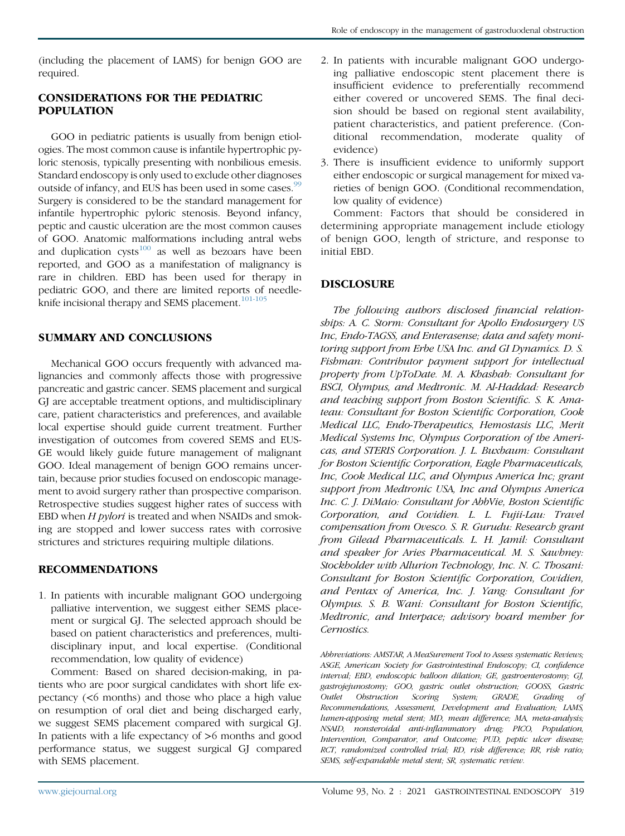(including the placement of LAMS) for benign GOO are required.

#### CONSIDERATIONS FOR THE PEDIATRIC POPULATION

GOO in pediatric patients is usually from benign etiologies. The most common cause is infantile hypertrophic pyloric stenosis, typically presenting with nonbilious emesis. Standard endoscopy is only used to exclude other diagnoses outside of infancy, and EUS has been used in some cases.<sup>[99](#page-13-5)</sup> Surgery is considered to be the standard management for infantile hypertrophic pyloric stenosis. Beyond infancy, peptic and caustic ulceration are the most common causes of GOO. Anatomic malformations including antral webs and duplication  $cysts^{100}$  $cysts^{100}$  $cysts^{100}$  as well as bezoars have been reported, and GOO as a manifestation of malignancy is rare in children. EBD has been used for therapy in pediatric GOO, and there are limited reports of needle-knife incisional therapy and SEMS placement.<sup>[101-105](#page-13-7)</sup>

#### SUMMARY AND CONCLUSIONS

Mechanical GOO occurs frequently with advanced malignancies and commonly affects those with progressive pancreatic and gastric cancer. SEMS placement and surgical GJ are acceptable treatment options, and multidisciplinary care, patient characteristics and preferences, and available local expertise should guide current treatment. Further investigation of outcomes from covered SEMS and EUS-GE would likely guide future management of malignant GOO. Ideal management of benign GOO remains uncertain, because prior studies focused on endoscopic management to avoid surgery rather than prospective comparison. Retrospective studies suggest higher rates of success with EBD when  $H$  pylori is treated and when NSAIDs and smoking are stopped and lower success rates with corrosive strictures and strictures requiring multiple dilations.

#### RECOMMENDATIONS

1. In patients with incurable malignant GOO undergoing palliative intervention, we suggest either SEMS placement or surgical GJ. The selected approach should be based on patient characteristics and preferences, multidisciplinary input, and local expertise. (Conditional recommendation, low quality of evidence)

Comment: Based on shared decision-making, in patients who are poor surgical candidates with short life expectancy (<6 months) and those who place a high value on resumption of oral diet and being discharged early, we suggest SEMS placement compared with surgical GJ. In patients with a life expectancy of >6 months and good performance status, we suggest surgical GJ compared with SEMS placement.

- 2. In patients with incurable malignant GOO undergoing palliative endoscopic stent placement there is insufficient evidence to preferentially recommend either covered or uncovered SEMS. The final decision should be based on regional stent availability, patient characteristics, and patient preference. (Conditional recommendation, moderate quality of evidence)
- 3. There is insufficient evidence to uniformly support either endoscopic or surgical management for mixed varieties of benign GOO. (Conditional recommendation, low quality of evidence)

Comment: Factors that should be considered in determining appropriate management include etiology of benign GOO, length of stricture, and response to initial EBD.

# DISCLOSURE

The following authors disclosed financial relationships: A. C. Storm: Consultant for Apollo Endosurgery US Inc, Endo-TAGSS, and Enterasense; data and safety monitoring support from Erbe USA Inc. and GI Dynamics. D. S. Fishman: Contributor payment support for intellectual property from UpToDate. M. A. Khashab: Consultant for BSCI, Olympus, and Medtronic. M. Al-Haddad: Research and teaching support from Boston Scientific. S. K. Amateau: Consultant for Boston Scientific Corporation, Cook Medical LLC, Endo-Therapeutics, Hemostasis LLC, Merit Medical Systems Inc, Olympus Corporation of the Americas, and STERIS Corporation. J. L. Buxbaum: Consultant for Boston Scientific Corporation, Eagle Pharmaceuticals, Inc, Cook Medical LLC, and Olympus America Inc; grant support from Medtronic USA, Inc and Olympus America Inc. C. J. DiMaio: Consultant for AbbVie, Boston Scientific Corporation, and Covidien. L. L. Fujii-Lau: Travel compensation from Ovesco. S. R. Gurudu: Research grant from Gilead Pharmaceuticals. L. H. Jamil: Consultant and speaker for Aries Pharmaceutical. M. S. Sawhney: Stockholder with Allurion Technology, Inc. N. C. Thosani: Consultant for Boston Scientific Corporation, Covidien, and Pentax of America, Inc. J. Yang: Consultant for Olympus. S. B. Wani: Consultant for Boston Scientific, Medtronic, and Interpace; advisory board member for Cernostics.

Abbreviations: AMSTAR, A MeaSurement Tool to Assess systematic Reviews; ASGE, American Society for Gastrointestinal Endoscopy; CI, confidence interval; EBD, endoscopic balloon dilation; GE, gastroenterostomy; GJ, gastrojejunostomy; GOO, gastric outlet obstruction; GOOSS, Gastric Outlet Obstruction Scoring System; GRADE, Grading of Recommendations, Assessment, Development and Evaluation; LAMS, lumen-apposing metal stent; MD, mean difference; MA, meta-analysis; NSAID, nonsteroidal anti-inflammatory drug; PICO, Population, Intervention, Comparator, and Outcome; PUD, peptic ulcer disease; RCT, randomized controlled trial; RD, risk difference; RR, risk ratio; SEMS, self-expandable metal stent; SR, systematic review.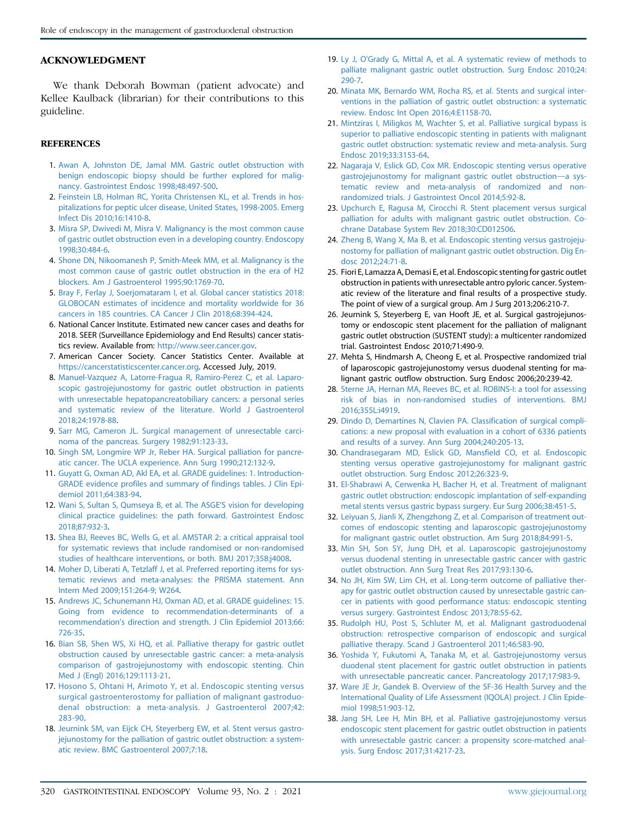#### ACKNOWLEDGMENT

We thank Deborah Bowman (patient advocate) and Kellee Kaulback (librarian) for their contributions to this guideline.

#### **REFERENCES**

- <span id="page-11-0"></span>1. [Awan A, Johnston DE, Jamal MM. Gastric outlet obstruction with](http://refhub.elsevier.com/S0016-5107(20)34658-7/sref1) [benign endoscopic biopsy should be further explored for malig](http://refhub.elsevier.com/S0016-5107(20)34658-7/sref1)[nancy. Gastrointest Endosc 1998;48:497-500](http://refhub.elsevier.com/S0016-5107(20)34658-7/sref1).
- 2. [Feinstein LB, Holman RC, Yorita Christensen KL, et al. Trends in hos](http://refhub.elsevier.com/S0016-5107(20)34658-7/sref2)[pitalizations for peptic ulcer disease, United States, 1998-2005. Emerg](http://refhub.elsevier.com/S0016-5107(20)34658-7/sref2) [Infect Dis 2010;16:1410-8](http://refhub.elsevier.com/S0016-5107(20)34658-7/sref2).
- <span id="page-11-23"></span>3. [Misra SP, Dwivedi M, Misra V. Malignancy is the most common cause](http://refhub.elsevier.com/S0016-5107(20)34658-7/sref3) [of gastric outlet obstruction even in a developing country. Endoscopy](http://refhub.elsevier.com/S0016-5107(20)34658-7/sref3) [1998;30:484-6.](http://refhub.elsevier.com/S0016-5107(20)34658-7/sref3)
- 4. [Shone DN, Nikoomanesh P, Smith-Meek MM, et al. Malignancy is the](http://refhub.elsevier.com/S0016-5107(20)34658-7/sref4) [most common cause of gastric outlet obstruction in the era of H2](http://refhub.elsevier.com/S0016-5107(20)34658-7/sref4) [blockers. Am J Gastroenterol 1995;90:1769-70](http://refhub.elsevier.com/S0016-5107(20)34658-7/sref4).
- <span id="page-11-1"></span>5. [Bray F, Ferlay J, Soerjomataram I, et al. Global cancer statistics 2018:](http://refhub.elsevier.com/S0016-5107(20)34658-7/sref5) [GLOBOCAN estimates of incidence and mortality worldwide for 36](http://refhub.elsevier.com/S0016-5107(20)34658-7/sref5) [cancers in 185 countries. CA Cancer J Clin 2018;68:394-424](http://refhub.elsevier.com/S0016-5107(20)34658-7/sref5).
- <span id="page-11-2"></span>6. National Cancer Institute. Estimated new cancer cases and deaths for 2018. SEER (Surveillance Epidemiology and End Results) cancer statistics review. Available from: <http://www.seer.cancer.gov>.
- <span id="page-11-3"></span>7. American Cancer Society. Cancer Statistics Center. Available at <https://cancerstatisticscenter.cancer.org>. Accessed July, 2019.
- <span id="page-11-4"></span>8. [Manuel-Vazquez A, Latorre-Fragua R, Ramiro-Perez C, et al. Laparo](http://refhub.elsevier.com/S0016-5107(20)34658-7/sref104)[scopic gastrojejunostomy for gastric outlet obstruction in patients](http://refhub.elsevier.com/S0016-5107(20)34658-7/sref104) [with unresectable hepatopancreatobiliary cancers: a personal series](http://refhub.elsevier.com/S0016-5107(20)34658-7/sref104) [and systematic review of the literature. World J Gastroenterol](http://refhub.elsevier.com/S0016-5107(20)34658-7/sref104) [2018;24:1978-88.](http://refhub.elsevier.com/S0016-5107(20)34658-7/sref104)
- 9. [Sarr MG, Cameron JL. Surgical management of unresectable carci](http://refhub.elsevier.com/S0016-5107(20)34658-7/sref8)[noma of the pancreas. Surgery 1982;91:123-33.](http://refhub.elsevier.com/S0016-5107(20)34658-7/sref8)
- 10. [Singh SM, Longmire WP Jr, Reber HA. Surgical palliation for pancre](http://refhub.elsevier.com/S0016-5107(20)34658-7/sref9)[atic cancer. The UCLA experience. Ann Surg 1990;212:132-9.](http://refhub.elsevier.com/S0016-5107(20)34658-7/sref9)
- <span id="page-11-5"></span>11. [Guyatt G, Oxman AD, Akl EA, et al. GRADE guidelines: 1. Introduction-](http://refhub.elsevier.com/S0016-5107(20)34658-7/sref10)[GRADE evidence profiles and summary of findings tables. J Clin Epi](http://refhub.elsevier.com/S0016-5107(20)34658-7/sref10)[demiol 2011;64:383-94.](http://refhub.elsevier.com/S0016-5107(20)34658-7/sref10)
- <span id="page-11-6"></span>12. [Wani S, Sultan S, Qumseya B, et al. The ASGE](http://refhub.elsevier.com/S0016-5107(20)34658-7/sref11)'S vision for developing [clinical practice guidelines: the path forward. Gastrointest Endosc](http://refhub.elsevier.com/S0016-5107(20)34658-7/sref11) [2018;87:932-3.](http://refhub.elsevier.com/S0016-5107(20)34658-7/sref11)
- <span id="page-11-7"></span>13. [Shea BJ, Reeves BC, Wells G, et al. AMSTAR 2: a critical appraisal tool](http://refhub.elsevier.com/S0016-5107(20)34658-7/sref133) [for systematic reviews that include randomised or non-randomised](http://refhub.elsevier.com/S0016-5107(20)34658-7/sref133) [studies of healthcare interventions, or both. BMJ 2017;358:j4008.](http://refhub.elsevier.com/S0016-5107(20)34658-7/sref133)
- <span id="page-11-8"></span>14. [Moher D, Liberati A, Tetzlaff J, et al. Preferred reporting items for sys](http://refhub.elsevier.com/S0016-5107(20)34658-7/sref12)[tematic reviews and meta-analyses: the PRISMA statement. Ann](http://refhub.elsevier.com/S0016-5107(20)34658-7/sref12) [Intern Med 2009;151:264-9; W264.](http://refhub.elsevier.com/S0016-5107(20)34658-7/sref12)
- <span id="page-11-9"></span>15. [Andrews JC, Schunemann HJ, Oxman AD, et al. GRADE guidelines: 15.](http://refhub.elsevier.com/S0016-5107(20)34658-7/sref13) [Going from evidence to recommendation-determinants of a](http://refhub.elsevier.com/S0016-5107(20)34658-7/sref13) recommendation'[s direction and strength. J Clin Epidemiol 2013;66:](http://refhub.elsevier.com/S0016-5107(20)34658-7/sref13) [726-35](http://refhub.elsevier.com/S0016-5107(20)34658-7/sref13).
- <span id="page-11-10"></span>16. [Bian SB, Shen WS, Xi HQ, et al. Palliative therapy for gastric outlet](http://refhub.elsevier.com/S0016-5107(20)34658-7/sref14) [obstruction caused by unresectable gastric cancer: a meta-analysis](http://refhub.elsevier.com/S0016-5107(20)34658-7/sref14) [comparison of gastrojejunostomy with endoscopic stenting. Chin](http://refhub.elsevier.com/S0016-5107(20)34658-7/sref14) [Med J \(Engl\) 2016;129:1113-21.](http://refhub.elsevier.com/S0016-5107(20)34658-7/sref14)
- 17. [Hosono S, Ohtani H, Arimoto Y, et al. Endoscopic stenting versus](http://refhub.elsevier.com/S0016-5107(20)34658-7/sref15) [surgical gastroenterostomy for palliation of malignant gastroduo](http://refhub.elsevier.com/S0016-5107(20)34658-7/sref15)[denal obstruction: a meta-analysis. J Gastroenterol 2007;42:](http://refhub.elsevier.com/S0016-5107(20)34658-7/sref15) [283-90.](http://refhub.elsevier.com/S0016-5107(20)34658-7/sref15)
- 18. [Jeurnink SM, van Eijck CH, Steyerberg EW, et al. Stent versus gastro](http://refhub.elsevier.com/S0016-5107(20)34658-7/sref16)[jejunostomy for the palliation of gastric outlet obstruction: a system](http://refhub.elsevier.com/S0016-5107(20)34658-7/sref16)[atic review. BMC Gastroenterol 2007;7:18.](http://refhub.elsevier.com/S0016-5107(20)34658-7/sref16)
- 19. [Ly J, O'Grady G, Mittal A, et al. A systematic review of methods to](http://refhub.elsevier.com/S0016-5107(20)34658-7/sref17) [palliate malignant gastric outlet obstruction. Surg Endosc 2010;24:](http://refhub.elsevier.com/S0016-5107(20)34658-7/sref17) [290-7.](http://refhub.elsevier.com/S0016-5107(20)34658-7/sref17)
- <span id="page-11-11"></span>20. [Minata MK, Bernardo WM, Rocha RS, et al. Stents and surgical inter](http://refhub.elsevier.com/S0016-5107(20)34658-7/sref18)[ventions in the palliation of gastric outlet obstruction: a systematic](http://refhub.elsevier.com/S0016-5107(20)34658-7/sref18) [review. Endosc Int Open 2016;4:E1158-70](http://refhub.elsevier.com/S0016-5107(20)34658-7/sref18).
- <span id="page-11-12"></span>21. [Mintziras I, Miligkos M, Wachter S, et al. Palliative surgical bypass is](http://refhub.elsevier.com/S0016-5107(20)34658-7/sref19) [superior to palliative endoscopic stenting in patients with malignant](http://refhub.elsevier.com/S0016-5107(20)34658-7/sref19) [gastric outlet obstruction: systematic review and meta-analysis. Surg](http://refhub.elsevier.com/S0016-5107(20)34658-7/sref19) [Endosc 2019;33:3153-64.](http://refhub.elsevier.com/S0016-5107(20)34658-7/sref19)
- 22. [Nagaraja V, Eslick GD, Cox MR. Endoscopic stenting versus operative](http://refhub.elsevier.com/S0016-5107(20)34658-7/sref20) [gastrojejunostomy for malignant gastric outlet obstruction](http://refhub.elsevier.com/S0016-5107(20)34658-7/sref20)-a sys[tematic review and meta-analysis of randomized and non](http://refhub.elsevier.com/S0016-5107(20)34658-7/sref20)[randomized trials. J Gastrointest Oncol 2014;5:92-8](http://refhub.elsevier.com/S0016-5107(20)34658-7/sref20).
- <span id="page-11-13"></span>23. [Upchurch E, Ragusa M, Cirocchi R. Stent placement versus surgical](http://refhub.elsevier.com/S0016-5107(20)34658-7/sref21) [palliation for adults with malignant gastric outlet obstruction. Co](http://refhub.elsevier.com/S0016-5107(20)34658-7/sref21)[chrane Database System Rev 2018;30:CD012506.](http://refhub.elsevier.com/S0016-5107(20)34658-7/sref21)
- 24. [Zheng B, Wang X, Ma B, et al. Endoscopic stenting versus gastrojeju](http://refhub.elsevier.com/S0016-5107(20)34658-7/sref22)[nostomy for palliation of malignant gastric outlet obstruction. Dig En](http://refhub.elsevier.com/S0016-5107(20)34658-7/sref22)[dosc 2012;24:71-8](http://refhub.elsevier.com/S0016-5107(20)34658-7/sref22).
- <span id="page-11-14"></span>25. Fiori E, Lamazza A, Demasi E, et al. Endoscopic stenting for gastric outlet obstruction in patients with unresectable antro pyloric cancer. Systematic review of the literature and final results of a prospective study. The point of view of a surgical group. Am J Surg 2013;206:210-7.
- <span id="page-11-16"></span>26. Jeurnink S, Steyerberg E, van Hooft JE, et al. Surgical gastrojejunostomy or endoscopic stent placement for the palliation of malignant gastric outlet obstruction (SUSTENT study): a multicenter randomized trial. Gastrointest Endosc 2010;71:490-9.
- <span id="page-11-15"></span>27. Mehta S, Hindmarsh A, Cheong E, et al. Prospective randomized trial of laparoscopic gastrojejunostomy versus duodenal stenting for malignant gastric outflow obstruction. Surg Endosc 2006;20:239-42.
- <span id="page-11-17"></span>28. [Sterne JA, Hernan MA, Reeves BC, et al. ROBINS-I: a tool for assessing](http://refhub.elsevier.com/S0016-5107(20)34658-7/sref26) [risk of bias in non-randomised studies of interventions. BMJ](http://refhub.elsevier.com/S0016-5107(20)34658-7/sref26) [2016;355L:i4919.](http://refhub.elsevier.com/S0016-5107(20)34658-7/sref26)
- <span id="page-11-18"></span>29. [Dindo D, Demartines N, Clavien PA. Classification of surgical compli](http://refhub.elsevier.com/S0016-5107(20)34658-7/sref27)[cations: a new proposal with evaluation in a cohort of 6336 patients](http://refhub.elsevier.com/S0016-5107(20)34658-7/sref27) [and results of a survey. Ann Surg 2004;240:205-13.](http://refhub.elsevier.com/S0016-5107(20)34658-7/sref27)
- <span id="page-11-19"></span>30. [Chandrasegaram MD, Eslick GD, Mansfield CO, et al. Endoscopic](http://refhub.elsevier.com/S0016-5107(20)34658-7/sref28) [stenting versus operative gastrojejunostomy for malignant gastric](http://refhub.elsevier.com/S0016-5107(20)34658-7/sref28) [outlet obstruction. Surg Endosc 2012;26:323-9](http://refhub.elsevier.com/S0016-5107(20)34658-7/sref28).
- 31. [El-Shabrawi A, Cerwenka H, Bacher H, et al. Treatment of malignant](http://refhub.elsevier.com/S0016-5107(20)34658-7/sref29) [gastric outlet obstruction: endoscopic implantation of self-expanding](http://refhub.elsevier.com/S0016-5107(20)34658-7/sref29) [metal stents versus gastric bypass surgery. Eur Surg 2006;38:451-5.](http://refhub.elsevier.com/S0016-5107(20)34658-7/sref29)
- 32. [Leiyuan S, Jianli X, Zhengzhong Z, et al. Comparison of treatment out](http://refhub.elsevier.com/S0016-5107(20)34658-7/sref30)[comes of endoscopic stenting and laparoscopic gastrojejunostomy](http://refhub.elsevier.com/S0016-5107(20)34658-7/sref30) [for malignant gastric outlet obstruction. Am Surg 2018;84:991-5](http://refhub.elsevier.com/S0016-5107(20)34658-7/sref30).
- 33. [Min SH, Son SY, Jung DH, et al. Laparoscopic gastrojejunostomy](http://refhub.elsevier.com/S0016-5107(20)34658-7/sref31) [versus duodenal stenting in unresectable gastric cancer with gastric](http://refhub.elsevier.com/S0016-5107(20)34658-7/sref31) [outlet obstruction. Ann Surg Treat Res 2017;93:130-6](http://refhub.elsevier.com/S0016-5107(20)34658-7/sref31).
- <span id="page-11-21"></span>34. [No JH, Kim SW, Lim CH, et al. Long-term outcome of palliative ther](http://refhub.elsevier.com/S0016-5107(20)34658-7/sref32)[apy for gastric outlet obstruction caused by unresectable gastric can](http://refhub.elsevier.com/S0016-5107(20)34658-7/sref32)[cer in patients with good performance status: endoscopic stenting](http://refhub.elsevier.com/S0016-5107(20)34658-7/sref32) [versus surgery. Gastrointest Endosc 2013;78:55-62.](http://refhub.elsevier.com/S0016-5107(20)34658-7/sref32)
- 35. [Rudolph HU, Post S, Schluter M, et al. Malignant gastroduodenal](http://refhub.elsevier.com/S0016-5107(20)34658-7/sref33) [obstruction: retrospective comparison of endoscopic and surgical](http://refhub.elsevier.com/S0016-5107(20)34658-7/sref33) [palliative therapy. Scand J Gastroenterol 2011;46:583-90.](http://refhub.elsevier.com/S0016-5107(20)34658-7/sref33)
- 36. [Yoshida Y, Fukutomi A, Tanaka M, et al. Gastrojejunostomy versus](http://refhub.elsevier.com/S0016-5107(20)34658-7/sref34) [duodenal stent placement for gastric outlet obstruction in patients](http://refhub.elsevier.com/S0016-5107(20)34658-7/sref34) [with unresectable pancreatic cancer. Pancreatology 2017;17:983-9](http://refhub.elsevier.com/S0016-5107(20)34658-7/sref34).
- <span id="page-11-20"></span>37. [Ware JE Jr, Gandek B. Overview of the SF-36 Health Survey and the](http://refhub.elsevier.com/S0016-5107(20)34658-7/sref35) [International Quality of Life Assessment \(IQOLA\) project. J Clin Epide](http://refhub.elsevier.com/S0016-5107(20)34658-7/sref35)[miol 1998;51:903-12.](http://refhub.elsevier.com/S0016-5107(20)34658-7/sref35)
- <span id="page-11-22"></span>38. [Jang SH, Lee H, Min BH, et al. Palliative gastrojejunostomy versus](http://refhub.elsevier.com/S0016-5107(20)34658-7/sref36) [endoscopic stent placement for gastric outlet obstruction in patients](http://refhub.elsevier.com/S0016-5107(20)34658-7/sref36) [with unresectable gastric cancer: a propensity score-matched anal](http://refhub.elsevier.com/S0016-5107(20)34658-7/sref36)[ysis. Surg Endosc 2017;31:4217-23.](http://refhub.elsevier.com/S0016-5107(20)34658-7/sref36)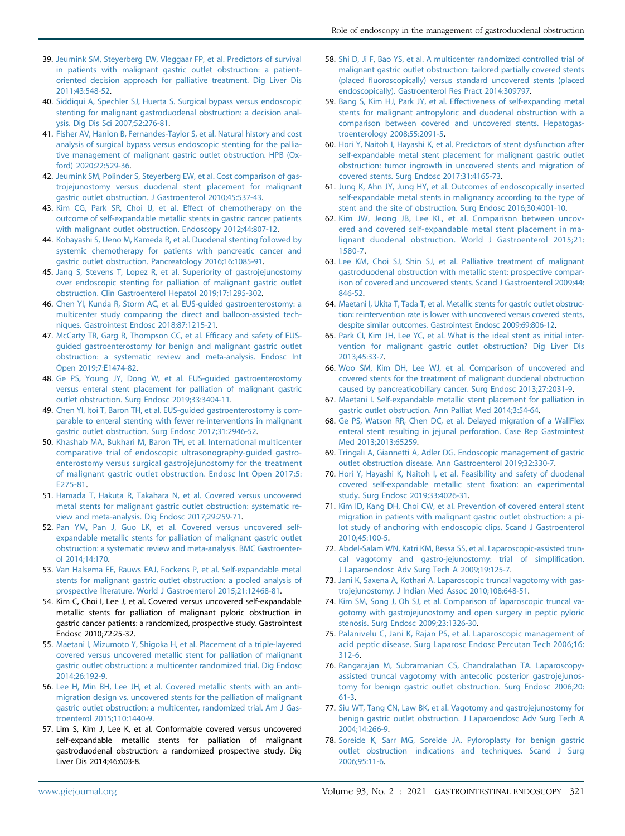- <span id="page-12-0"></span>39. [Jeurnink SM, Steyerberg EW, Vleggaar FP, et al. Predictors of survival](http://refhub.elsevier.com/S0016-5107(20)34658-7/sref37) [in patients with malignant gastric outlet obstruction: a patient](http://refhub.elsevier.com/S0016-5107(20)34658-7/sref37)[oriented decision approach for palliative treatment. Dig Liver Dis](http://refhub.elsevier.com/S0016-5107(20)34658-7/sref37) [2011;43:548-52.](http://refhub.elsevier.com/S0016-5107(20)34658-7/sref37)
- <span id="page-12-1"></span>40. [Siddiqui A, Spechler SJ, Huerta S. Surgical bypass versus endoscopic](http://refhub.elsevier.com/S0016-5107(20)34658-7/sref38) [stenting for malignant gastroduodenal obstruction: a decision anal](http://refhub.elsevier.com/S0016-5107(20)34658-7/sref38)[ysis. Dig Dis Sci 2007;52:276-81.](http://refhub.elsevier.com/S0016-5107(20)34658-7/sref38)
- <span id="page-12-2"></span>41. [Fisher AV, Hanlon B, Fernandes-Taylor S, et al. Natural history and cost](http://refhub.elsevier.com/S0016-5107(20)34658-7/sref39) [analysis of surgical bypass versus endoscopic stenting for the pallia](http://refhub.elsevier.com/S0016-5107(20)34658-7/sref39)[tive management of malignant gastric outlet obstruction. HPB \(Ox](http://refhub.elsevier.com/S0016-5107(20)34658-7/sref39)[ford\) 2020;22:529-36](http://refhub.elsevier.com/S0016-5107(20)34658-7/sref39).
- <span id="page-12-3"></span>42. [Jeurnink SM, Polinder S, Steyerberg EW, et al. Cost comparison of gas](http://refhub.elsevier.com/S0016-5107(20)34658-7/sref40)[trojejunostomy versus duodenal stent placement for malignant](http://refhub.elsevier.com/S0016-5107(20)34658-7/sref40) [gastric outlet obstruction. J Gastroenterol 2010;45:537-43](http://refhub.elsevier.com/S0016-5107(20)34658-7/sref40).
- <span id="page-12-4"></span>43. [Kim CG, Park SR, Choi IJ, et al. Effect of chemotherapy on the](http://refhub.elsevier.com/S0016-5107(20)34658-7/sref41) [outcome of self-expandable metallic stents in gastric cancer patients](http://refhub.elsevier.com/S0016-5107(20)34658-7/sref41) [with malignant outlet obstruction. Endoscopy 2012;44:807-12.](http://refhub.elsevier.com/S0016-5107(20)34658-7/sref41)
- <span id="page-12-5"></span>44. [Kobayashi S, Ueno M, Kameda R, et al. Duodenal stenting followed by](http://refhub.elsevier.com/S0016-5107(20)34658-7/sref42) [systemic chemotherapy for patients with pancreatic cancer and](http://refhub.elsevier.com/S0016-5107(20)34658-7/sref42) [gastric outlet obstruction. Pancreatology 2016;16:1085-91.](http://refhub.elsevier.com/S0016-5107(20)34658-7/sref42)
- <span id="page-12-6"></span>45. [Jang S, Stevens T, Lopez R, et al. Superiority of gastrojejunostomy](http://refhub.elsevier.com/S0016-5107(20)34658-7/sref43) [over endoscopic stenting for palliation of malignant gastric outlet](http://refhub.elsevier.com/S0016-5107(20)34658-7/sref43) [obstruction. Clin Gastroenterol Hepatol 2019;17:1295-302.](http://refhub.elsevier.com/S0016-5107(20)34658-7/sref43)
- <span id="page-12-7"></span>46. [Chen YI, Kunda R, Storm AC, et al. EUS-guided gastroenterostomy: a](http://refhub.elsevier.com/S0016-5107(20)34658-7/sref44) [multicenter study comparing the direct and balloon-assisted tech](http://refhub.elsevier.com/S0016-5107(20)34658-7/sref44)[niques. Gastrointest Endosc 2018;87:1215-21](http://refhub.elsevier.com/S0016-5107(20)34658-7/sref44).
- <span id="page-12-8"></span>47. [McCarty TR, Garg R, Thompson CC, et al. Efficacy and safety of EUS](http://refhub.elsevier.com/S0016-5107(20)34658-7/sref45)[guided gastroenterostomy for benign and malignant gastric outlet](http://refhub.elsevier.com/S0016-5107(20)34658-7/sref45) [obstruction: a systematic review and meta-analysis. Endosc Int](http://refhub.elsevier.com/S0016-5107(20)34658-7/sref45) [Open 2019;7:E1474-82.](http://refhub.elsevier.com/S0016-5107(20)34658-7/sref45)
- <span id="page-12-9"></span>48. [Ge PS, Young JY, Dong W, et al. EUS-guided gastroenterostomy](http://refhub.elsevier.com/S0016-5107(20)34658-7/sref46) [versus enteral stent placement for palliation of malignant gastric](http://refhub.elsevier.com/S0016-5107(20)34658-7/sref46) [outlet obstruction. Surg Endosc 2019;33:3404-11](http://refhub.elsevier.com/S0016-5107(20)34658-7/sref46).
- <span id="page-12-10"></span>49. [Chen YI, Itoi T, Baron TH, et al. EUS-guided gastroenterostomy is com](http://refhub.elsevier.com/S0016-5107(20)34658-7/sref47)[parable to enteral stenting with fewer re-interventions in malignant](http://refhub.elsevier.com/S0016-5107(20)34658-7/sref47) [gastric outlet obstruction. Surg Endosc 2017;31:2946-52.](http://refhub.elsevier.com/S0016-5107(20)34658-7/sref47)
- <span id="page-12-11"></span>50. [Khashab MA, Bukhari M, Baron TH, et al. International multicenter](http://refhub.elsevier.com/S0016-5107(20)34658-7/sref48) [comparative trial of endoscopic ultrasonography-guided gastro](http://refhub.elsevier.com/S0016-5107(20)34658-7/sref48)[enterostomy versus surgical gastrojejunostomy for the treatment](http://refhub.elsevier.com/S0016-5107(20)34658-7/sref48) [of malignant gastric outlet obstruction. Endosc Int Open 2017;5:](http://refhub.elsevier.com/S0016-5107(20)34658-7/sref48) [E275-81.](http://refhub.elsevier.com/S0016-5107(20)34658-7/sref48)
- <span id="page-12-12"></span>51. [Hamada T, Hakuta R, Takahara N, et al. Covered versus uncovered](http://refhub.elsevier.com/S0016-5107(20)34658-7/sref49) [metal stents for malignant gastric outlet obstruction: systematic re](http://refhub.elsevier.com/S0016-5107(20)34658-7/sref49)[view and meta-analysis. Dig Endosc 2017;29:259-71.](http://refhub.elsevier.com/S0016-5107(20)34658-7/sref49)
- 52. [Pan YM, Pan J, Guo LK, et al. Covered versus uncovered self](http://refhub.elsevier.com/S0016-5107(20)34658-7/sref50)[expandable metallic stents for palliation of malignant gastric outlet](http://refhub.elsevier.com/S0016-5107(20)34658-7/sref50) [obstruction: a systematic review and meta-analysis. BMC Gastroenter](http://refhub.elsevier.com/S0016-5107(20)34658-7/sref50)[ol 2014;14:170](http://refhub.elsevier.com/S0016-5107(20)34658-7/sref50).
- 53. [Van Halsema EE, Rauws EAJ, Fockens P, et al. Self-expandable metal](http://refhub.elsevier.com/S0016-5107(20)34658-7/sref51) [stents for malignant gastric outlet obstruction: a pooled analysis of](http://refhub.elsevier.com/S0016-5107(20)34658-7/sref51) [prospective literature. World J Gastroenterol 2015;21:12468-81](http://refhub.elsevier.com/S0016-5107(20)34658-7/sref51).
- <span id="page-12-13"></span>54. Kim C, Choi I, Lee J, et al. Covered versus uncovered self-expandable metallic stents for palliation of malignant pyloric obstruction in gastric cancer patients: a randomized, prospective study. Gastrointest Endosc 2010;72:25-32.
- <span id="page-12-14"></span>55. [Maetani I, Mizumoto Y, Shigoka H, et al. Placement of a triple-layered](http://refhub.elsevier.com/S0016-5107(20)34658-7/sref53) [covered versus uncovered metallic stent for palliation of malignant](http://refhub.elsevier.com/S0016-5107(20)34658-7/sref53) [gastric outlet obstruction: a multicenter randomized trial. Dig Endosc](http://refhub.elsevier.com/S0016-5107(20)34658-7/sref53) [2014;26:192-9.](http://refhub.elsevier.com/S0016-5107(20)34658-7/sref53)
- <span id="page-12-15"></span>56. [Lee H, Min BH, Lee JH, et al. Covered metallic stents with an anti](http://refhub.elsevier.com/S0016-5107(20)34658-7/sref54)[migration design vs. uncovered stents for the palliation of malignant](http://refhub.elsevier.com/S0016-5107(20)34658-7/sref54) [gastric outlet obstruction: a multicenter, randomized trial. Am J Gas](http://refhub.elsevier.com/S0016-5107(20)34658-7/sref54)[troenterol 2015;110:1440-9.](http://refhub.elsevier.com/S0016-5107(20)34658-7/sref54)
- <span id="page-12-17"></span>57. Lim S, Kim J, Lee K, et al. Conformable covered versus uncovered self-expandable metallic stents for palliation of malignant gastroduodenal obstruction: a randomized prospective study. Dig Liver Dis 2014;46:603-8.
- <span id="page-12-16"></span>58. [Shi D, Ji F, Bao YS, et al. A multicenter randomized controlled trial of](http://refhub.elsevier.com/S0016-5107(20)34658-7/sref56) [malignant gastric outlet obstruction: tailored partially covered stents](http://refhub.elsevier.com/S0016-5107(20)34658-7/sref56) [\(placed fluoroscopically\) versus standard uncovered stents \(placed](http://refhub.elsevier.com/S0016-5107(20)34658-7/sref56) [endoscopically\). Gastroenterol Res Pract 2014:309797](http://refhub.elsevier.com/S0016-5107(20)34658-7/sref56).
- <span id="page-12-18"></span>59. [Bang S, Kim HJ, Park JY, et al. Effectiveness of self-expanding metal](http://refhub.elsevier.com/S0016-5107(20)34658-7/sref57) [stents for malignant antropyloric and duodenal obstruction with a](http://refhub.elsevier.com/S0016-5107(20)34658-7/sref57) [comparison between covered and uncovered stents. Hepatogas](http://refhub.elsevier.com/S0016-5107(20)34658-7/sref57)[troenterology 2008;55:2091-5](http://refhub.elsevier.com/S0016-5107(20)34658-7/sref57).
- <span id="page-12-19"></span>60. [Hori Y, Naitoh I, Hayashi K, et al. Predictors of stent dysfunction after](http://refhub.elsevier.com/S0016-5107(20)34658-7/sref58) [self-expandable metal stent placement for malignant gastric outlet](http://refhub.elsevier.com/S0016-5107(20)34658-7/sref58) [obstruction: tumor ingrowth in uncovered stents and migration of](http://refhub.elsevier.com/S0016-5107(20)34658-7/sref58) [covered stents. Surg Endosc 2017;31:4165-73.](http://refhub.elsevier.com/S0016-5107(20)34658-7/sref58)
- <span id="page-12-27"></span>61. [Jung K, Ahn JY, Jung HY, et al. Outcomes of endoscopically inserted](http://refhub.elsevier.com/S0016-5107(20)34658-7/sref59) [self-expandable metal stents in malignancy according to the type of](http://refhub.elsevier.com/S0016-5107(20)34658-7/sref59) [stent and the site of obstruction. Surg Endosc 2016;30:4001-10](http://refhub.elsevier.com/S0016-5107(20)34658-7/sref59).
- <span id="page-12-28"></span>62. [Kim JW, Jeong JB, Lee KL, et al. Comparison between uncov](http://refhub.elsevier.com/S0016-5107(20)34658-7/sref60)[ered and covered self-expandable metal stent placement in ma](http://refhub.elsevier.com/S0016-5107(20)34658-7/sref60)lignant duodenal obstruction. [World J Gastroenterol 2015;21:](http://refhub.elsevier.com/S0016-5107(20)34658-7/sref60) [1580-7](http://refhub.elsevier.com/S0016-5107(20)34658-7/sref60).
- <span id="page-12-31"></span>63. [Lee KM, Choi SJ, Shin SJ, et al. Palliative treatment of malignant](http://refhub.elsevier.com/S0016-5107(20)34658-7/sref61) [gastroduodenal obstruction with metallic stent: prospective compar](http://refhub.elsevier.com/S0016-5107(20)34658-7/sref61)[ison of covered and uncovered stents. Scand J Gastroenterol 2009;44:](http://refhub.elsevier.com/S0016-5107(20)34658-7/sref61) [846-52.](http://refhub.elsevier.com/S0016-5107(20)34658-7/sref61)
- <span id="page-12-20"></span>64. [Maetani I, Ukita T, Tada T, et al. Metallic stents for gastric outlet obstruc](http://refhub.elsevier.com/S0016-5107(20)34658-7/sref62)[tion: reintervention rate is lower with uncovered versus covered stents,](http://refhub.elsevier.com/S0016-5107(20)34658-7/sref62) [despite similar outcomes. Gastrointest Endosc 2009;69:806-12](http://refhub.elsevier.com/S0016-5107(20)34658-7/sref62).
- <span id="page-12-29"></span>65. [Park CI, Kim JH, Lee YC, et al. What is the ideal stent as initial inter](http://refhub.elsevier.com/S0016-5107(20)34658-7/sref63)[vention for malignant gastric outlet obstruction? Dig Liver Dis](http://refhub.elsevier.com/S0016-5107(20)34658-7/sref63) [2013;45:33-7](http://refhub.elsevier.com/S0016-5107(20)34658-7/sref63).
- <span id="page-12-30"></span>66. [Woo SM, Kim DH, Lee WJ, et al. Comparison of uncovered and](http://refhub.elsevier.com/S0016-5107(20)34658-7/sref64) [covered stents for the treatment of malignant duodenal obstruction](http://refhub.elsevier.com/S0016-5107(20)34658-7/sref64) [caused by pancreaticobiliary cancer. Surg Endosc 2013;27:2031-9.](http://refhub.elsevier.com/S0016-5107(20)34658-7/sref64)
- <span id="page-12-21"></span>67. [Maetani I. Self-expandable metallic stent placement for palliation in](http://refhub.elsevier.com/S0016-5107(20)34658-7/sref65) [gastric outlet obstruction. Ann Palliat Med 2014;3:54-64](http://refhub.elsevier.com/S0016-5107(20)34658-7/sref65).
- <span id="page-12-22"></span>68. [Ge PS, Watson RR, Chen DC, et al. Delayed migration of a WallFlex](http://refhub.elsevier.com/S0016-5107(20)34658-7/sref66) [enteral stent resulting in jejunal perforation. Case Rep Gastrointest](http://refhub.elsevier.com/S0016-5107(20)34658-7/sref66) [Med 2013;2013:65259](http://refhub.elsevier.com/S0016-5107(20)34658-7/sref66).
- <span id="page-12-23"></span>69. [Tringali A, Giannetti A, Adler DG. Endoscopic management of gastric](http://refhub.elsevier.com/S0016-5107(20)34658-7/sref67) [outlet obstruction disease. Ann Gastroenterol 2019;32:330-7.](http://refhub.elsevier.com/S0016-5107(20)34658-7/sref67)
- <span id="page-12-24"></span>70. [Hori Y, Hayashi K, Naitoh I, et al. Feasibility and safety of duodenal](http://refhub.elsevier.com/S0016-5107(20)34658-7/sref68) [covered self-expandable metallic stent fixation: an experimental](http://refhub.elsevier.com/S0016-5107(20)34658-7/sref68) [study. Surg Endosc 2019;33:4026-31](http://refhub.elsevier.com/S0016-5107(20)34658-7/sref68).
- <span id="page-12-25"></span>71. [Kim ID, Kang DH, Choi CW, et al. Prevention of covered enteral stent](http://refhub.elsevier.com/S0016-5107(20)34658-7/sref69) [migration in patients with malignant gastric outlet obstruction: a pi](http://refhub.elsevier.com/S0016-5107(20)34658-7/sref69)[lot study of anchoring with endoscopic clips. Scand J Gastroenterol](http://refhub.elsevier.com/S0016-5107(20)34658-7/sref69) [2010;45:100-5](http://refhub.elsevier.com/S0016-5107(20)34658-7/sref69).
- <span id="page-12-26"></span>72. [Abdel-Salam WN, Katri KM, Bessa SS, et al. Laparoscopic-assisted trun](http://refhub.elsevier.com/S0016-5107(20)34658-7/sref70)[cal vagotomy and gastro-jejunostomy: trial of simplification.](http://refhub.elsevier.com/S0016-5107(20)34658-7/sref70) [J Laparoendosc Adv Surg Tech A 2009;19:125-7](http://refhub.elsevier.com/S0016-5107(20)34658-7/sref70).
- 73. [Jani K, Saxena A, Kothari A. Laparoscopic truncal vagotomy with gas](http://refhub.elsevier.com/S0016-5107(20)34658-7/sref71)[trojejunostomy. J Indian Med Assoc 2010;108:648-51](http://refhub.elsevier.com/S0016-5107(20)34658-7/sref71).
- 74. [Kim SM, Song J, Oh SJ, et al. Comparison of laparoscopic truncal va](http://refhub.elsevier.com/S0016-5107(20)34658-7/sref72)[gotomy with gastrojejunostomy and open surgery in peptic pyloric](http://refhub.elsevier.com/S0016-5107(20)34658-7/sref72) [stenosis. Surg Endosc 2009;23:1326-30](http://refhub.elsevier.com/S0016-5107(20)34658-7/sref72).
- 75. [Palanivelu C, Jani K, Rajan PS, et al. Laparoscopic management of](http://refhub.elsevier.com/S0016-5107(20)34658-7/sref73) [acid peptic disease. Surg Laparosc Endosc Percutan Tech 2006;16:](http://refhub.elsevier.com/S0016-5107(20)34658-7/sref73) [312-6.](http://refhub.elsevier.com/S0016-5107(20)34658-7/sref73)
- 76. [Rangarajan M, Subramanian CS, Chandralathan TA. Laparoscopy](http://refhub.elsevier.com/S0016-5107(20)34658-7/sref74)[assisted truncal vagotomy with antecolic posterior gastrojejunos](http://refhub.elsevier.com/S0016-5107(20)34658-7/sref74)[tomy for benign gastric outlet obstruction. Surg Endosc 2006;20:](http://refhub.elsevier.com/S0016-5107(20)34658-7/sref74) [61-3.](http://refhub.elsevier.com/S0016-5107(20)34658-7/sref74)
- 77. [Siu WT, Tang CN, Law BK, et al. Vagotomy and gastrojejunostomy for](http://refhub.elsevier.com/S0016-5107(20)34658-7/sref75) [benign gastric outlet obstruction. J Laparoendosc Adv Surg Tech A](http://refhub.elsevier.com/S0016-5107(20)34658-7/sref75) [2004;14:266-9](http://refhub.elsevier.com/S0016-5107(20)34658-7/sref75).
- 78. [Soreide K, Sarr MG, Soreide JA. Pyloroplasty for benign gastric](http://refhub.elsevier.com/S0016-5107(20)34658-7/sref76) outlet obstruction-[indications and techniques. Scand J Surg](http://refhub.elsevier.com/S0016-5107(20)34658-7/sref76) [2006;95:11-6](http://refhub.elsevier.com/S0016-5107(20)34658-7/sref76).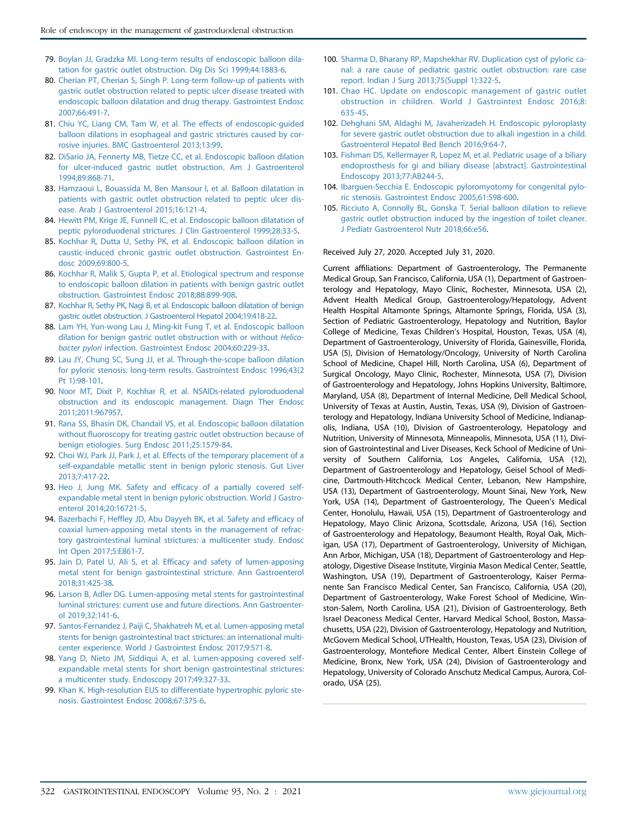- <span id="page-13-0"></span>79. [Boylan JJ, Gradzka MI. Long-term results of endoscopic balloon dila](http://refhub.elsevier.com/S0016-5107(20)34658-7/sref77)[tation for gastric outlet obstruction. Dig Dis Sci 1999;44:1883-6.](http://refhub.elsevier.com/S0016-5107(20)34658-7/sref77)
- <span id="page-13-8"></span>80. [Cherian PT, Cherian S, Singh P. Long-term follow-up of patients with](http://refhub.elsevier.com/S0016-5107(20)34658-7/sref78) [gastric outlet obstruction related to peptic ulcer disease treated with](http://refhub.elsevier.com/S0016-5107(20)34658-7/sref78) [endoscopic balloon dilatation and drug therapy. Gastrointest Endosc](http://refhub.elsevier.com/S0016-5107(20)34658-7/sref78) [2007;66:491-7.](http://refhub.elsevier.com/S0016-5107(20)34658-7/sref78)
- <span id="page-13-9"></span>81. [Chiu YC, Liang CM, Tam W, et al. The effects of endoscopic-guided](http://refhub.elsevier.com/S0016-5107(20)34658-7/sref79) [balloon dilations in esophageal and gastric strictures caused by cor](http://refhub.elsevier.com/S0016-5107(20)34658-7/sref79)[rosive injuries. BMC Gastroenterol 2013;13:99](http://refhub.elsevier.com/S0016-5107(20)34658-7/sref79).
- <span id="page-13-10"></span>82. [DiSario JA, Fennerty MB, Tietze CC, et al. Endoscopic balloon dilation](http://refhub.elsevier.com/S0016-5107(20)34658-7/sref80) [for ulcer-induced gastric outlet obstruction. Am J Gastroenterol](http://refhub.elsevier.com/S0016-5107(20)34658-7/sref80) [1994;89:868-71.](http://refhub.elsevier.com/S0016-5107(20)34658-7/sref80)
- <span id="page-13-11"></span>83. [Hamzaoui L, Bouassida M, Ben Mansour I, et al. Balloon dilatation in](http://refhub.elsevier.com/S0016-5107(20)34658-7/sref81) [patients with gastric outlet obstruction related to peptic ulcer dis](http://refhub.elsevier.com/S0016-5107(20)34658-7/sref81)[ease. Arab J Gastroenterol 2015;16:121-4.](http://refhub.elsevier.com/S0016-5107(20)34658-7/sref81)
- <span id="page-13-12"></span>84. [Hewitt PM, Krige JE, Funnell IC, et al. Endoscopic balloon dilatation of](http://refhub.elsevier.com/S0016-5107(20)34658-7/sref82) [peptic pyloroduodenal strictures. J Clin Gastroenterol 1999;28:33-5.](http://refhub.elsevier.com/S0016-5107(20)34658-7/sref82)
- <span id="page-13-13"></span>85. [Kochhar R, Dutta U, Sethy PK, et al. Endoscopic balloon dilation in](http://refhub.elsevier.com/S0016-5107(20)34658-7/sref83) [caustic-induced chronic gastric outlet obstruction. Gastrointest En](http://refhub.elsevier.com/S0016-5107(20)34658-7/sref83)[dosc 2009;69:800-5.](http://refhub.elsevier.com/S0016-5107(20)34658-7/sref83)
- <span id="page-13-1"></span>86. [Kochhar R, Malik S, Gupta P, et al. Etiological spectrum and response](http://refhub.elsevier.com/S0016-5107(20)34658-7/sref84) [to endoscopic balloon dilation in patients with benign gastric outlet](http://refhub.elsevier.com/S0016-5107(20)34658-7/sref84) [obstruction. Gastrointest Endosc 2018;88:899-908](http://refhub.elsevier.com/S0016-5107(20)34658-7/sref84).
- <span id="page-13-14"></span>87. [Kochhar R, Sethy PK, Nagi B, et al. Endoscopic balloon dilatation of benign](http://refhub.elsevier.com/S0016-5107(20)34658-7/sref85) [gastric outlet obstruction. J Gastroenterol Hepatol 2004;19:418-22.](http://refhub.elsevier.com/S0016-5107(20)34658-7/sref85)
- <span id="page-13-15"></span>88. [Lam YH, Yun-wong Lau J, Ming-kit Fung T, et al. Endoscopic balloon](http://refhub.elsevier.com/S0016-5107(20)34658-7/sref86) [dilation for benign gastric outlet obstruction with or without](http://refhub.elsevier.com/S0016-5107(20)34658-7/sref86) Helicobacter pylori [infection. Gastrointest Endosc 2004;60:229-33](http://refhub.elsevier.com/S0016-5107(20)34658-7/sref86).
- <span id="page-13-16"></span>89. [Lau JY, Chung SC, Sung JJ, et al. Through-the-scope balloon dilation](http://refhub.elsevier.com/S0016-5107(20)34658-7/sref87) [for pyloric stenosis: long-term results. Gastrointest Endosc 1996;43\(2](http://refhub.elsevier.com/S0016-5107(20)34658-7/sref87) [Pt 1\):98-101.](http://refhub.elsevier.com/S0016-5107(20)34658-7/sref87)
- <span id="page-13-17"></span>90. [Noor MT, Dixit P, Kochhar R, et al. NSAIDs-related pyloroduodenal](http://refhub.elsevier.com/S0016-5107(20)34658-7/sref88) [obstruction and its endoscopic management. Diagn Ther Endosc](http://refhub.elsevier.com/S0016-5107(20)34658-7/sref88) [2011;2011:967957](http://refhub.elsevier.com/S0016-5107(20)34658-7/sref88).
- <span id="page-13-18"></span>91. [Rana SS, Bhasin DK, Chandail VS, et al. Endoscopic balloon dilatation](http://refhub.elsevier.com/S0016-5107(20)34658-7/sref89) [without fluoroscopy for treating gastric outlet obstruction because of](http://refhub.elsevier.com/S0016-5107(20)34658-7/sref89) [benign etiologies. Surg Endosc 2011;25:1579-84.](http://refhub.elsevier.com/S0016-5107(20)34658-7/sref89)
- <span id="page-13-2"></span>92. [Choi WJ, Park JJ, Park J, et al. Effects of the temporary placement of a](http://refhub.elsevier.com/S0016-5107(20)34658-7/sref90) [self-expandable metallic stent in benign pyloric stenosis. Gut Liver](http://refhub.elsevier.com/S0016-5107(20)34658-7/sref90) [2013;7:417-22.](http://refhub.elsevier.com/S0016-5107(20)34658-7/sref90)
- <span id="page-13-3"></span>93. [Heo J, Jung MK. Safety and efficacy of a partially covered self](http://refhub.elsevier.com/S0016-5107(20)34658-7/sref91)[expandable metal stent in benign pyloric obstruction. World J Gastro](http://refhub.elsevier.com/S0016-5107(20)34658-7/sref91)[enterol 2014;20:16721-5](http://refhub.elsevier.com/S0016-5107(20)34658-7/sref91).
- <span id="page-13-4"></span>94. [Bazerbachi F, Heffley JD, Abu Dayyeh BK, et al. Safety and efficacy of](http://refhub.elsevier.com/S0016-5107(20)34658-7/sref92) [coaxial lumen-apposing metal stents in the management of refrac](http://refhub.elsevier.com/S0016-5107(20)34658-7/sref92)[tory gastrointestinal luminal strictures: a multicenter study. Endosc](http://refhub.elsevier.com/S0016-5107(20)34658-7/sref92) [Int Open 2017;5:E861-7](http://refhub.elsevier.com/S0016-5107(20)34658-7/sref92).
- 95. [Jain D, Patel U, Ali S, et al. Efficacy and safety of lumen-apposing](http://refhub.elsevier.com/S0016-5107(20)34658-7/sref93) [metal stent for benign gastrointestinal stricture. Ann Gastroenterol](http://refhub.elsevier.com/S0016-5107(20)34658-7/sref93) [2018;31:425-38.](http://refhub.elsevier.com/S0016-5107(20)34658-7/sref93)
- 96. [Larson B, Adler DG. Lumen-apposing metal stents for gastrointestinal](http://refhub.elsevier.com/S0016-5107(20)34658-7/sref94) [luminal strictures: current use and future directions. Ann Gastroenter](http://refhub.elsevier.com/S0016-5107(20)34658-7/sref94)[ol 2019;32:141-6.](http://refhub.elsevier.com/S0016-5107(20)34658-7/sref94)
- 97. [Santos-Fernandez J, Paiji C, Shakhatreh M, et al. Lumen-apposing metal](http://refhub.elsevier.com/S0016-5107(20)34658-7/sref95) [stents for benign gastrointestinal tract strictures: an international multi](http://refhub.elsevier.com/S0016-5107(20)34658-7/sref95)[center experience. World J Gastrointest Endosc 2017;9:571-8.](http://refhub.elsevier.com/S0016-5107(20)34658-7/sref95)
- 98. [Yang D, Nieto JM, Siddiqui A, et al. Lumen-apposing covered self](http://refhub.elsevier.com/S0016-5107(20)34658-7/sref96)[expandable metal stents for short benign gastrointestinal strictures:](http://refhub.elsevier.com/S0016-5107(20)34658-7/sref96) [a multicenter study. Endoscopy 2017;49:327-33.](http://refhub.elsevier.com/S0016-5107(20)34658-7/sref96)
- <span id="page-13-5"></span>99. [Khan K. High-resolution EUS to differentiate hypertrophic pyloric ste](http://refhub.elsevier.com/S0016-5107(20)34658-7/sref97)[nosis. Gastrointest Endosc 2008;67:375-6.](http://refhub.elsevier.com/S0016-5107(20)34658-7/sref97)
- <span id="page-13-6"></span>100. [Sharma D, Bharany RP, Mapshekhar RV. Duplication cyst of pyloric ca](http://refhub.elsevier.com/S0016-5107(20)34658-7/sref98)[nal: a rare cause of pediatric gastric outlet obstruction: rare case](http://refhub.elsevier.com/S0016-5107(20)34658-7/sref98) [report. Indian J Surg 2013;75\(Suppl 1\):322-5.](http://refhub.elsevier.com/S0016-5107(20)34658-7/sref98)
- <span id="page-13-7"></span>101. [Chao HC. Update on endoscopic management of gastric outlet](http://refhub.elsevier.com/S0016-5107(20)34658-7/sref99) [obstruction in children. World J Gastrointest Endosc 2016;8:](http://refhub.elsevier.com/S0016-5107(20)34658-7/sref99) [635-45](http://refhub.elsevier.com/S0016-5107(20)34658-7/sref99).
- 102. [Dehghani SM, Aldaghi M, Javaherizadeh H. Endoscopic pyloroplasty](http://refhub.elsevier.com/S0016-5107(20)34658-7/sref100) [for severe gastric outlet obstruction due to alkali ingestion in a child.](http://refhub.elsevier.com/S0016-5107(20)34658-7/sref100) [Gastroenterol Hepatol Bed Bench 2016;9:64-7](http://refhub.elsevier.com/S0016-5107(20)34658-7/sref100).
- 103. [Fishman DS, Kellermayer R, Lopez M, et al. Pediatric usage of a biliary](http://refhub.elsevier.com/S0016-5107(20)34658-7/sref101) [endoprosthesis for gi and biliary disease \[abstract\]. Gastrointestinal](http://refhub.elsevier.com/S0016-5107(20)34658-7/sref101) [Endoscopy 2013;77:AB244-5](http://refhub.elsevier.com/S0016-5107(20)34658-7/sref101).
- 104. [Ibarguen-Secchia E. Endoscopic pyloromyotomy for congenital pylo](http://refhub.elsevier.com/S0016-5107(20)34658-7/sref102)[ric stenosis. Gastrointest Endosc 2005;61:598-600.](http://refhub.elsevier.com/S0016-5107(20)34658-7/sref102)
- 105. [Ricciuto A, Connolly BL, Gonska T. Serial balloon dilation to relieve](http://refhub.elsevier.com/S0016-5107(20)34658-7/sref103) [gastric outlet obstruction induced by the ingestion of toilet cleaner.](http://refhub.elsevier.com/S0016-5107(20)34658-7/sref103) [J Pediatr Gastroenterol Nutr 2018;66:e56.](http://refhub.elsevier.com/S0016-5107(20)34658-7/sref103)

#### Received July 27, 2020. Accepted July 31, 2020.

Current affiliations: Department of Gastroenterology, The Permanente Medical Group, San Francisco, California, USA (1), Department of Gastroenterology and Hepatology, Mayo Clinic, Rochester, Minnesota, USA (2), Advent Health Medical Group, Gastroenterology/Hepatology, Advent Health Hospital Altamonte Springs, Altamonte Springs, Florida, USA (3), Section of Pediatric Gastroenterology, Hepatology and Nutrition, Baylor College of Medicine, Texas Children's Hospital, Houston, Texas, USA (4), Department of Gastroenterology, University of Florida, Gainesville, Florida, USA (5), Division of Hematology/Oncology, University of North Carolina School of Medicine, Chapel Hill, North Carolina, USA (6), Department of Surgical Oncology, Mayo Clinic, Rochester, Minnesota, USA (7), Division of Gastroenterology and Hepatology, Johns Hopkins University, Baltimore, Maryland, USA (8), Department of Internal Medicine, Dell Medical School, University of Texas at Austin, Austin, Texas, USA (9), Division of Gastroenterology and Hepatology, Indiana University School of Medicine, Indianapolis, Indiana, USA (10), Division of Gastroenterology, Hepatology and Nutrition, University of Minnesota, Minneapolis, Minnesota, USA (11), Division of Gastrointestinal and Liver Diseases, Keck School of Medicine of University of Southern California, Los Angeles, California, USA (12), Department of Gastroenterology and Hepatology, Geisel School of Medicine, Dartmouth-Hitchcock Medical Center, Lebanon, New Hampshire, USA (13), Department of Gastroenterology, Mount Sinai, New York, New York, USA (14), Department of Gastroenterology, The Queen's Medical Center, Honolulu, Hawaii, USA (15), Department of Gastroenterology and Hepatology, Mayo Clinic Arizona, Scottsdale, Arizona, USA (16), Section of Gastroenterology and Hepatology, Beaumont Health, Royal Oak, Michigan, USA (17), Department of Gastroenterology, University of Michigan, Ann Arbor, Michigan, USA (18), Department of Gastroenterology and Hepatology, Digestive Disease Institute, Virginia Mason Medical Center, Seattle, Washington, USA (19), Department of Gastroenterology, Kaiser Permanente San Francisco Medical Center, San Francisco, California, USA (20), Department of Gastroenterology, Wake Forest School of Medicine, Winston-Salem, North Carolina, USA (21), Division of Gastroenterology, Beth Israel Deaconess Medical Center, Harvard Medical School, Boston, Massachusetts, USA (22), Division of Gastroenterology, Hepatology and Nutrition, McGovern Medical School, UTHealth, Houston, Texas, USA (23), Division of Gastroenterology, Montefiore Medical Center, Albert Einstein College of Medicine, Bronx, New York, USA (24), Division of Gastroenterology and Hepatology, University of Colorado Anschutz Medical Campus, Aurora, Colorado, USA (25).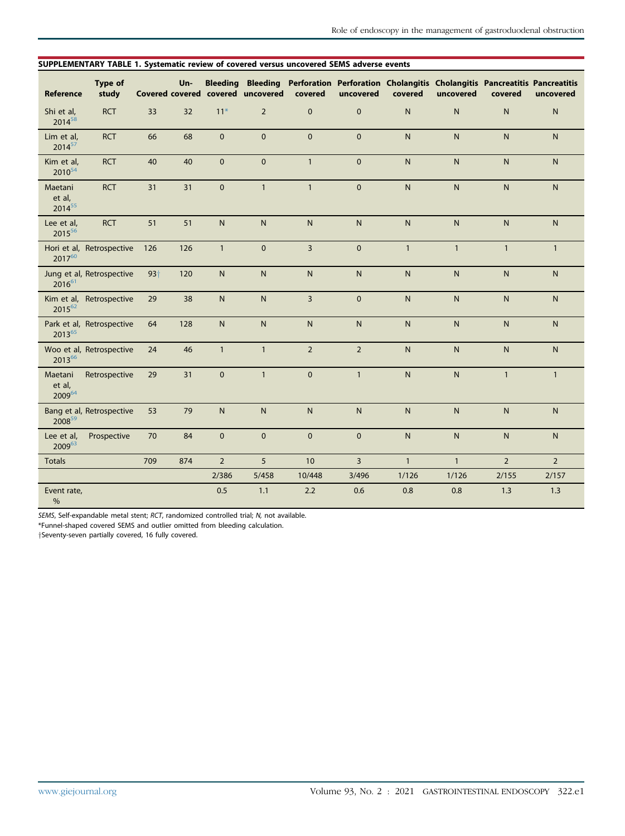#### <span id="page-14-0"></span>SUPPLEMENTARY TABLE 1. Systematic review of covered versus uncovered SEMS adverse events

| Reference                        | Type of<br>study          |       | Un- |                | Covered covered covered uncovered | covered        | Bleeding Bleeding Perforation Perforation Cholangitis Cholangitis Pancreatitis Pancreatitis<br>uncovered | covered        | uncovered      | covered        | uncovered      |
|----------------------------------|---------------------------|-------|-----|----------------|-----------------------------------|----------------|----------------------------------------------------------------------------------------------------------|----------------|----------------|----------------|----------------|
| Shi et al,<br>201458             | <b>RCT</b>                | 33    | 32  | $11*$          | $\overline{2}$                    | $\mathbf{0}$   | $\mathbf{0}$                                                                                             | $\mathsf{N}$   | ${\sf N}$      | ${\sf N}$      | $\mathsf{N}$   |
| Lim et al,<br>201457             | <b>RCT</b>                | 66    | 68  | $\mathbf{0}$   | $\mathbf{0}$                      | $\Omega$       | $\mathbf{0}$                                                                                             | $\overline{N}$ | $\overline{N}$ | $\mathsf{N}$   | N              |
| Kim et al,<br>2010 <sup>54</sup> | <b>RCT</b>                | 40    | 40  | $\mathbf{0}$   | $\pmb{0}$                         | $\mathbf{1}$   | $\mathbf{0}$                                                                                             | $\mathsf{N}$   | $\mathsf{N}$   | ${\sf N}$      | $\mathsf{N}$   |
| Maetani<br>et al,<br>201455      | <b>RCT</b>                | 31    | 31  | $\mathbf{0}$   | $\mathbf{1}$                      | $\mathbf{1}$   | $\mathbf 0$                                                                                              | $\mathsf{N}$   | $\mathsf{N}$   | ${\sf N}$      | $\mathsf{N}$   |
| Lee et al,<br>201556             | <b>RCT</b>                | 51    | 51  | ${\sf N}$      | N                                 | ${\sf N}$      | $\mathsf{N}$                                                                                             | $\mathsf{N}$   | ${\sf N}$      | ${\sf N}$      | $\mathsf{N}$   |
| 201760                           | Hori et al, Retrospective | 126   | 126 | $\mathbf{1}$   | $\pmb{0}$                         | $\overline{3}$ | $\mathbf 0$                                                                                              | $\mathbf{1}$   | $\mathbf{1}$   | $\mathbf{1}$   | $\mathbf{1}$   |
| $2016^{61}$                      | Jung et al, Retrospective | $93+$ | 120 | $\overline{N}$ | $\mathsf{N}$                      | $\overline{N}$ | $\mathsf{N}$                                                                                             | $\mathsf{N}$   | $\overline{N}$ | $\mathsf{N}$   | N              |
| 201562                           | Kim et al, Retrospective  | 29    | 38  | N              | N                                 | $\overline{3}$ | $\mathbf{0}$                                                                                             | $\overline{N}$ | $\overline{N}$ | $\overline{N}$ | N              |
| 201365                           | Park et al, Retrospective | 64    | 128 | ${\sf N}$      | ${\sf N}$                         | $\mathsf{N}$   | $\mathsf{N}$                                                                                             | $\mathsf{N}$   | $\mathsf{N}$   | ${\sf N}$      | $\mathsf{N}$   |
| 201366                           | Woo et al, Retrospective  | 24    | 46  | $\mathbf{1}$   | $\mathbf{1}$                      | $\overline{2}$ | $\overline{2}$                                                                                           | $\mathsf{N}$   | $\overline{N}$ | ${\sf N}$      | $\mathsf{N}$   |
| Maetani<br>et al,<br>200964      | Retrospective             | 29    | 31  | $\mathbf 0$    | $\mathbf{1}$                      | $\mathbf 0$    | $\mathbf{1}$                                                                                             | $\mathsf{N}$   | ${\sf N}$      | $\mathbf{1}$   | $\mathbf{1}$   |
| 200859                           | Bang et al, Retrospective | 53    | 79  | $\mathsf{N}$   | ${\sf N}$                         | $\mathsf{N}$   | $\mathsf{N}$                                                                                             | $\mathsf{N}$   | $\mathsf{N}$   | ${\sf N}$      | $\mathsf{N}$   |
| Lee et al,<br>$2009^{63}$        | Prospective               | 70    | 84  | $\mathbf{0}$   | $\Omega$                          | $\Omega$       | $\mathbf{0}$                                                                                             | $\overline{N}$ | $\overline{N}$ | $\mathsf{N}$   | $\overline{N}$ |
| <b>Totals</b>                    |                           | 709   | 874 | $\overline{2}$ | 5                                 | 10             | 3                                                                                                        | $\mathbf{1}$   | $\mathbf{1}$   | $\overline{2}$ | $\overline{2}$ |
|                                  |                           |       |     | 2/386          | 5/458                             | 10/448         | 3/496                                                                                                    | 1/126          | 1/126          | 2/155          | 2/157          |
| Event rate,<br>$\frac{0}{0}$     |                           |       |     | 0.5            | 1.1                               | 2.2            | 0.6                                                                                                      | 0.8            | 0.8            | 1.3            | 1.3            |

SEMS, Self-expandable metal stent; RCT, randomized controlled trial; N, not available.

<span id="page-14-1"></span>\*Funnel-shaped covered SEMS and outlier omitted from bleeding calculation.

ySeventy-seven partially covered, 16 fully covered.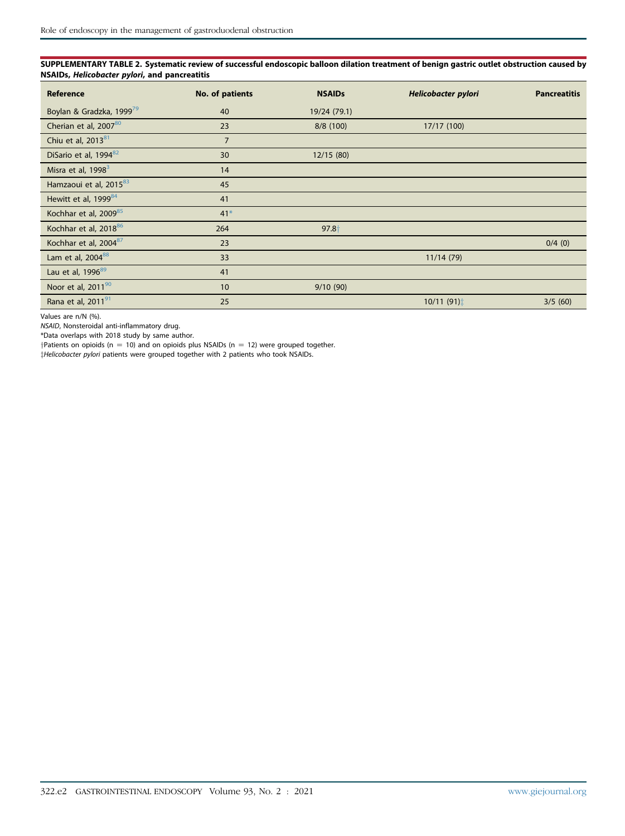<span id="page-15-0"></span>SUPPLEMENTARY TABLE 2. Systematic review of successful endoscopic balloon dilation treatment of benign gastric outlet obstruction caused by NSAIDs, Helicobacter pylori, and pancreatitis

| Reference                            | No. of patients | <b>NSAIDs</b> | Helicobacter pylori | <b>Pancreatitis</b> |
|--------------------------------------|-----------------|---------------|---------------------|---------------------|
| Boylan & Gradzka, 1999 <sup>79</sup> | 40              | 19/24 (79.1)  |                     |                     |
| Cherian et al, 200780                | 23              | 8/8 (100)     | 17/17 (100)         |                     |
| Chiu et al, 2013 <sup>81</sup>       | $\overline{7}$  |               |                     |                     |
| DiSario et al, 1994 <sup>82</sup>    | 30              | 12/15(80)     |                     |                     |
| Misra et al, 1998 <sup>3</sup>       | 14              |               |                     |                     |
| Hamzaoui et al, 201583               | 45              |               |                     |                     |
| Hewitt et al, 1999 <sup>84</sup>     | 41              |               |                     |                     |
| Kochhar et al, 200985                | $41*$           |               |                     |                     |
| Kochhar et al, 201886                | 264             | $97.8+$       |                     |                     |
| Kochhar et al, 2004 <sup>87</sup>    | 23              |               |                     | $0/4$ (0)           |
| Lam et al, 2004 <sup>88</sup>        | 33              |               | 11/14(79)           |                     |
| Lau et al, 1996 <sup>89</sup>        | 41              |               |                     |                     |
| Noor et al, 201190                   | 10              | 9/10(90)      |                     |                     |
| Rana et al, 2011 <sup>91</sup>       | 25              |               | 10/11(91)           | 3/5(60)             |

Values are n/N (%).

NSAID, Nonsteroidal anti-inflammatory drug.

<span id="page-15-1"></span>\*Data overlaps with 2018 study by same author.

 $\dagger$ Patients on opioids (n = 10) and on opioids plus NSAIDs (n = 12) were grouped together.

zHelicobacter pylori patients were grouped together with 2 patients who took NSAIDs.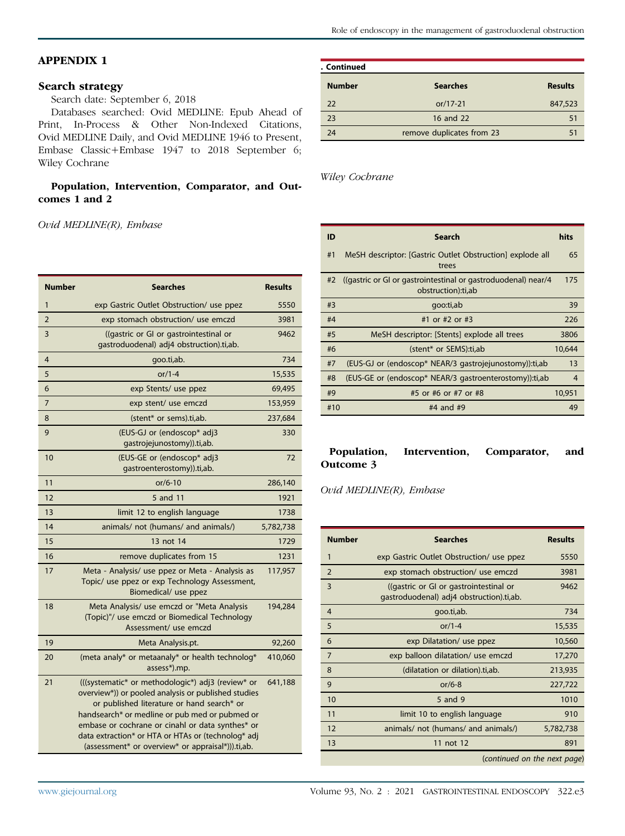# <span id="page-16-0"></span>APPENDIX 1

#### Search strategy

Search date: September 6, 2018

Databases searched: Ovid MEDLINE: Epub Ahead of Print, In-Process & Other Non-Indexed Citations, Ovid MEDLINE Daily, and Ovid MEDLINE 1946 to Present, Embase Classic+Embase 1947 to 2018 September 6; Wiley Cochrane

#### Population, Intervention, Comparator, and Outcomes 1 and 2

Ovid MEDLINE(R), Embase

| <b>Number</b>  | <b>Searches</b>                                                                                                                                                                                                                                                                                                                                                         | <b>Results</b> |
|----------------|-------------------------------------------------------------------------------------------------------------------------------------------------------------------------------------------------------------------------------------------------------------------------------------------------------------------------------------------------------------------------|----------------|
| 1              | exp Gastric Outlet Obstruction/ use ppez                                                                                                                                                                                                                                                                                                                                | 5550           |
| $\overline{2}$ | exp stomach obstruction/ use emczd                                                                                                                                                                                                                                                                                                                                      | 3981           |
| 3              | ((gastric or GI or gastrointestinal or<br>gastroduodenal) adj4 obstruction).ti,ab.                                                                                                                                                                                                                                                                                      | 9462           |
| $\overline{4}$ | goo.ti,ab.                                                                                                                                                                                                                                                                                                                                                              | 734            |
| 5              | $or/1-4$                                                                                                                                                                                                                                                                                                                                                                | 15,535         |
| 6              | exp Stents/ use ppez                                                                                                                                                                                                                                                                                                                                                    | 69,495         |
| 7              | exp stent/ use emczd                                                                                                                                                                                                                                                                                                                                                    | 153,959        |
| 8              | (stent* or sems).ti,ab.                                                                                                                                                                                                                                                                                                                                                 | 237,684        |
| 9              | (EUS-GJ or (endoscop* adj3<br>gastrojejunostomy)).ti,ab.                                                                                                                                                                                                                                                                                                                | 330            |
| 10             | (EUS-GE or (endoscop* adj3<br>qastroenterostomy)).ti,ab.                                                                                                                                                                                                                                                                                                                | 72             |
| 11             | $or/6-10$                                                                                                                                                                                                                                                                                                                                                               | 286,140        |
| 12             | 5 and 11                                                                                                                                                                                                                                                                                                                                                                | 1921           |
| 13             | limit 12 to english language                                                                                                                                                                                                                                                                                                                                            | 1738           |
| 14             | animals/ not (humans/ and animals/)                                                                                                                                                                                                                                                                                                                                     | 5,782,738      |
| 15             | 13 not 14                                                                                                                                                                                                                                                                                                                                                               | 1729           |
| 16             | remove duplicates from 15                                                                                                                                                                                                                                                                                                                                               | 1231           |
| 17             | Meta - Analysis/ use ppez or Meta - Analysis as<br>Topic/ use ppez or exp Technology Assessment,<br>Biomedical/ use ppez                                                                                                                                                                                                                                                | 117,957        |
| 18             | Meta Analysis/ use emczd or "Meta Analysis<br>(Topic)"/ use emczd or Biomedical Technology<br>Assessment/ use emczd                                                                                                                                                                                                                                                     | 194,284        |
| 19             | Meta Analysis.pt.                                                                                                                                                                                                                                                                                                                                                       | 92,260         |
| 20             | (meta analy* or metaanaly* or health technolog*<br>assess*).mp.                                                                                                                                                                                                                                                                                                         | 410,060        |
| 21             | (((systematic* or methodologic*) adj3 (review* or<br>overview*)) or pooled analysis or published studies<br>or published literature or hand search* or<br>handsearch* or medline or pub med or pubmed or<br>embase or cochrane or cinahl or data synthes* or<br>data extraction* or HTA or HTAs or (technolog* adj<br>(assessment* or overview* or appraisal*))).ti,ab. | 641,188        |

| . Continued   |                           |                |
|---------------|---------------------------|----------------|
| <b>Number</b> | <b>Searches</b>           | <b>Results</b> |
| 22            | $or/17-21$                | 847,523        |
| 23            | 16 and 22                 | 51             |
| 24            | remove duplicates from 23 |                |

Wiley Cochrane

| ID  | <b>Search</b>                                                                       | hits           |
|-----|-------------------------------------------------------------------------------------|----------------|
| #1  | MeSH descriptor: [Gastric Outlet Obstruction] explode all<br>trees                  | 65             |
| #2  | ((gastric or GI or gastrointestinal or gastroduodenal) near/4<br>obstruction):ti,ab | 175            |
| #3  | qoo:ti,ab                                                                           | 39             |
| #4  | #1 or #2 or #3                                                                      | 226            |
| #5  | MeSH descriptor: [Stents] explode all trees                                         | 3806           |
| #6  | (stent* or SEMS):ti,ab                                                              | 10,644         |
| #7  | (EUS-GJ or (endoscop* NEAR/3 gastrojejunostomy)): ti, ab                            | 13             |
| #8  | (EUS-GE or (endoscop* NEAR/3 gastroenterostomy)): ti, ab                            | $\overline{4}$ |
| #9  | #5 or #6 or #7 or #8                                                                | 10,951         |
| #10 | $#4$ and $#9$                                                                       | 49             |

#### Population, Intervention, Comparator, and Outcome 3

Ovid MEDLINE(R), Embase

| <b>Number</b>  | <b>Searches</b>                                                                    | <b>Results</b>               |
|----------------|------------------------------------------------------------------------------------|------------------------------|
| $\mathbf{1}$   | exp Gastric Outlet Obstruction/ use ppez                                           | 5550                         |
| $\overline{2}$ | exp stomach obstruction/ use emczd                                                 | 3981                         |
| 3              | ((gastric or GI or gastrointestinal or<br>gastroduodenal) adj4 obstruction).ti,ab. | 9462                         |
| $\overline{4}$ | goo.ti,ab.                                                                         | 734                          |
| 5              | or/1-4                                                                             | 15,535                       |
| 6              | exp Dilatation/ use ppez                                                           | 10,560                       |
| 7              | exp balloon dilatation/ use emczd                                                  | 17,270                       |
| 8              | (dilatation or dilation).ti,ab.                                                    | 213,935                      |
| 9              | $or/6-8$                                                                           | 227,722                      |
| 10             | 5 and 9                                                                            | 1010                         |
| 11             | limit 10 to english language                                                       | 910                          |
| 12             | animals/ not (humans/ and animals/)                                                | 5,782,738                    |
| 13             | 11 not 12                                                                          | 891                          |
|                |                                                                                    | (continued on the next page) |